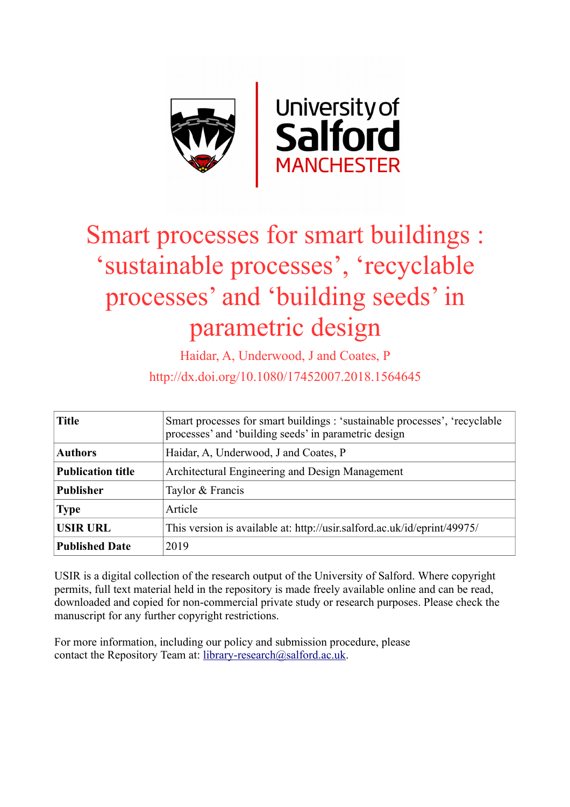

# Smart processes for smart buildings : 'sustainable processes', 'recyclable processes' and 'building seeds' in parametric design

Haidar, A, Underwood, J and Coates, P

http://dx.doi.org/10.1080/17452007.2018.1564645

| <b>Title</b>             | Smart processes for smart buildings : 'sustainable processes', 'recyclable<br>processes' and 'building seeds' in parametric design |  |  |
|--------------------------|------------------------------------------------------------------------------------------------------------------------------------|--|--|
| <b>Authors</b>           | Haidar, A, Underwood, J and Coates, P                                                                                              |  |  |
| <b>Publication title</b> | Architectural Engineering and Design Management                                                                                    |  |  |
| <b>Publisher</b>         | Taylor & Francis                                                                                                                   |  |  |
| <b>Type</b>              | Article                                                                                                                            |  |  |
| <b>USIR URL</b>          | This version is available at: http://usir.salford.ac.uk/id/eprint/49975/                                                           |  |  |
| <b>Published Date</b>    | 2019                                                                                                                               |  |  |

USIR is a digital collection of the research output of the University of Salford. Where copyright permits, full text material held in the repository is made freely available online and can be read, downloaded and copied for non-commercial private study or research purposes. Please check the manuscript for any further copyright restrictions.

For more information, including our policy and submission procedure, please contact the Repository Team at: [library-research@salford.ac.uk.](mailto:library-research@salford.ac.uk)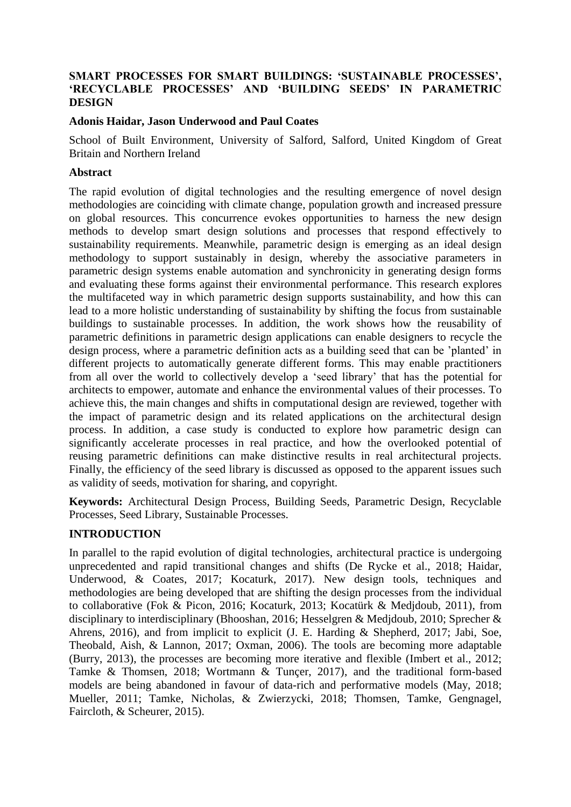#### **SMART PROCESSES FOR SMART BUILDINGS: 'SUSTAINABLE PROCESSES', 'RECYCLABLE PROCESSES' AND 'BUILDING SEEDS' IN PARAMETRIC DESIGN**

#### **Adonis Haidar, Jason Underwood and Paul Coates**

School of Built Environment, University of Salford, Salford, United Kingdom of Great Britain and Northern Ireland

## **Abstract**

The rapid evolution of digital technologies and the resulting emergence of novel design methodologies are coinciding with climate change, population growth and increased pressure on global resources. This concurrence evokes opportunities to harness the new design methods to develop smart design solutions and processes that respond effectively to sustainability requirements. Meanwhile, parametric design is emerging as an ideal design methodology to support sustainably in design, whereby the associative parameters in parametric design systems enable automation and synchronicity in generating design forms and evaluating these forms against their environmental performance. This research explores the multifaceted way in which parametric design supports sustainability, and how this can lead to a more holistic understanding of sustainability by shifting the focus from sustainable buildings to sustainable processes. In addition, the work shows how the reusability of parametric definitions in parametric design applications can enable designers to recycle the design process, where a parametric definition acts as a building seed that can be 'planted' in different projects to automatically generate different forms. This may enable practitioners from all over the world to collectively develop a 'seed library' that has the potential for architects to empower, automate and enhance the environmental values of their processes. To achieve this, the main changes and shifts in computational design are reviewed, together with the impact of parametric design and its related applications on the architectural design process. In addition, a case study is conducted to explore how parametric design can significantly accelerate processes in real practice, and how the overlooked potential of reusing parametric definitions can make distinctive results in real architectural projects. Finally, the efficiency of the seed library is discussed as opposed to the apparent issues such as validity of seeds, motivation for sharing, and copyright.

**Keywords:** Architectural Design Process, Building Seeds, Parametric Design, Recyclable Processes, Seed Library, Sustainable Processes.

# **INTRODUCTION**

In parallel to the rapid evolution of digital technologies, architectural practice is undergoing unprecedented and rapid transitional changes and shifts (De Rycke et al., 2018; Haidar, Underwood, & Coates, 2017; Kocaturk, 2017). New design tools, techniques and methodologies are being developed that are shifting the design processes from the individual to collaborative (Fok & Picon, 2016; Kocaturk, 2013; Kocatürk & Medjdoub, 2011), from disciplinary to interdisciplinary (Bhooshan, 2016; Hesselgren & Medjdoub, 2010; Sprecher & Ahrens, 2016), and from implicit to explicit (J. E. Harding & Shepherd, 2017; Jabi, Soe, Theobald, Aish, & Lannon, 2017; Oxman, 2006). The tools are becoming more adaptable (Burry, 2013), the processes are becoming more iterative and flexible (Imbert et al., 2012; Tamke & Thomsen, 2018; Wortmann & Tunçer, 2017), and the traditional form-based models are being abandoned in favour of data-rich and performative models (May, 2018; Mueller, 2011; Tamke, Nicholas, & Zwierzycki, 2018; Thomsen, Tamke, Gengnagel, Faircloth, & Scheurer, 2015).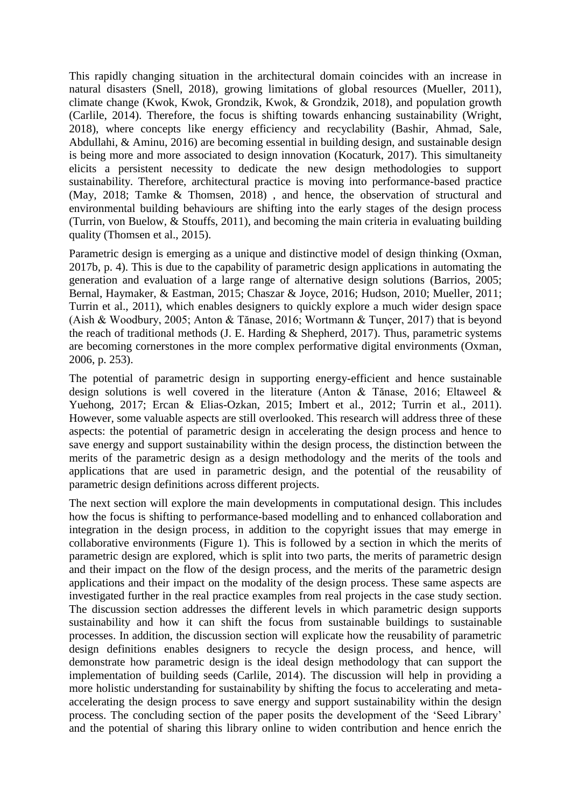This rapidly changing situation in the architectural domain coincides with an increase in natural disasters (Snell, 2018), growing limitations of global resources (Mueller, 2011), climate change (Kwok, Kwok, Grondzik, Kwok, & Grondzik, 2018), and population growth (Carlile, 2014). Therefore, the focus is shifting towards enhancing sustainability (Wright, 2018), where concepts like energy efficiency and recyclability (Bashir, Ahmad, Sale, Abdullahi, & Aminu, 2016) are becoming essential in building design, and sustainable design is being more and more associated to design innovation (Kocaturk, 2017). This simultaneity elicits a persistent necessity to dedicate the new design methodologies to support sustainability. Therefore, architectural practice is moving into performance-based practice (May, 2018; Tamke & Thomsen, 2018) , and hence, the observation of structural and environmental building behaviours are shifting into the early stages of the design process (Turrin, von Buelow, & Stouffs, 2011), and becoming the main criteria in evaluating building quality (Thomsen et al., 2015).

Parametric design is emerging as a unique and distinctive model of design thinking (Oxman, 2017b, p. 4). This is due to the capability of parametric design applications in automating the generation and evaluation of a large range of alternative design solutions (Barrios, 2005; Bernal, Haymaker, & Eastman, 2015; Chaszar & Joyce, 2016; Hudson, 2010; Mueller, 2011; Turrin et al., 2011), which enables designers to quickly explore a much wider design space (Aish & Woodbury, 2005; Anton & Tănase, 2016; Wortmann & Tunçer, 2017) that is beyond the reach of traditional methods (J. E. Harding & Shepherd, 2017). Thus, parametric systems are becoming cornerstones in the more complex performative digital environments (Oxman, 2006, p. 253).

The potential of parametric design in supporting energy-efficient and hence sustainable design solutions is well covered in the literature (Anton & Tănase, 2016; Eltaweel & Yuehong, 2017; Ercan & Elias-Ozkan, 2015; Imbert et al., 2012; Turrin et al., 2011). However, some valuable aspects are still overlooked. This research will address three of these aspects: the potential of parametric design in accelerating the design process and hence to save energy and support sustainability within the design process, the distinction between the merits of the parametric design as a design methodology and the merits of the tools and applications that are used in parametric design, and the potential of the reusability of parametric design definitions across different projects.

The next section will explore the main developments in computational design. This includes how the focus is shifting to performance-based modelling and to enhanced collaboration and integration in the design process, in addition to the copyright issues that may emerge in collaborative environments (Figure 1). This is followed by a section in which the merits of parametric design are explored, which is split into two parts, the merits of parametric design and their impact on the flow of the design process, and the merits of the parametric design applications and their impact on the modality of the design process. These same aspects are investigated further in the real practice examples from real projects in the case study section. The discussion section addresses the different levels in which parametric design supports sustainability and how it can shift the focus from sustainable buildings to sustainable processes. In addition, the discussion section will explicate how the reusability of parametric design definitions enables designers to recycle the design process, and hence, will demonstrate how parametric design is the ideal design methodology that can support the implementation of building seeds (Carlile, 2014). The discussion will help in providing a more holistic understanding for sustainability by shifting the focus to accelerating and metaaccelerating the design process to save energy and support sustainability within the design process. The concluding section of the paper posits the development of the 'Seed Library' and the potential of sharing this library online to widen contribution and hence enrich the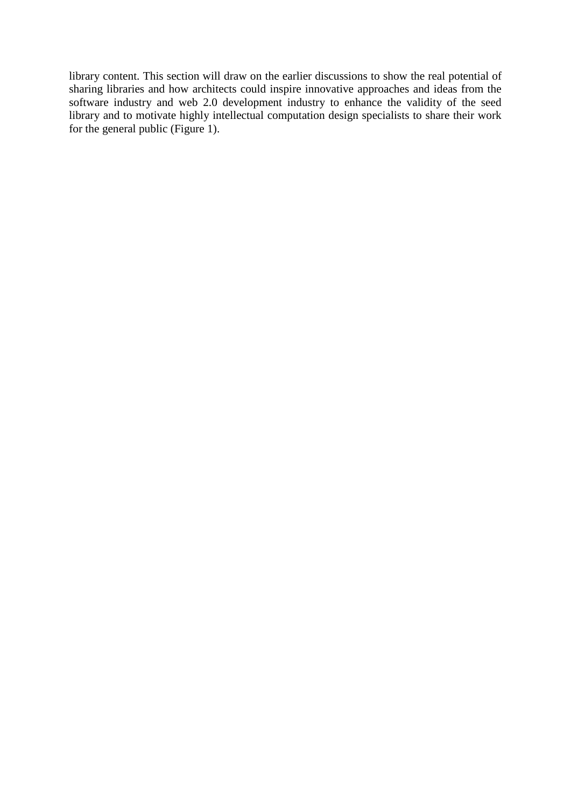library content. This section will draw on the earlier discussions to show the real potential of sharing libraries and how architects could inspire innovative approaches and ideas from the software industry and web 2.0 development industry to enhance the validity of the seed library and to motivate highly intellectual computation design specialists to share their work for the general public (Figure 1).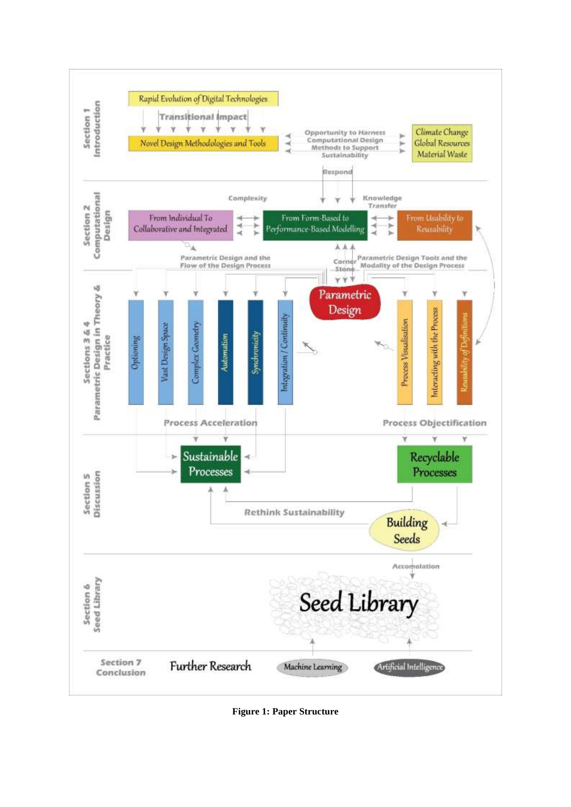

**Figure 1: Paper Structure**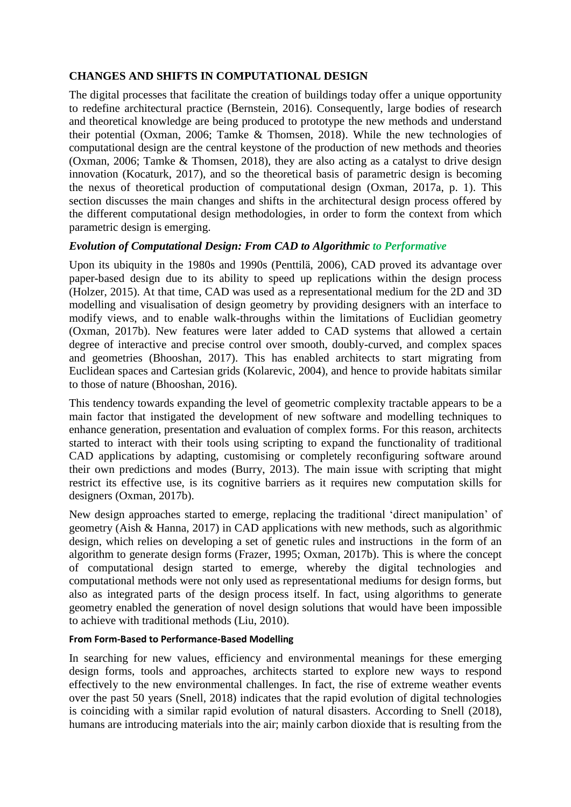# **CHANGES AND SHIFTS IN COMPUTATIONAL DESIGN**

The digital processes that facilitate the creation of buildings today offer a unique opportunity to redefine architectural practice (Bernstein, 2016). Consequently, large bodies of research and theoretical knowledge are being produced to prototype the new methods and understand their potential (Oxman, 2006; Tamke & Thomsen, 2018). While the new technologies of computational design are the central keystone of the production of new methods and theories (Oxman, 2006; Tamke & Thomsen, 2018), they are also acting as a catalyst to drive design innovation (Kocaturk, 2017), and so the theoretical basis of parametric design is becoming the nexus of theoretical production of computational design (Oxman, 2017a, p. 1). This section discusses the main changes and shifts in the architectural design process offered by the different computational design methodologies, in order to form the context from which parametric design is emerging.

# *Evolution of Computational Design: From CAD to Algorithmic to Performative*

Upon its ubiquity in the 1980s and 1990s (Penttilä, 2006), CAD proved its advantage over paper-based design due to its ability to speed up replications within the design process (Holzer, 2015). At that time, CAD was used as a representational medium for the 2D and 3D modelling and visualisation of design geometry by providing designers with an interface to modify views, and to enable walk-throughs within the limitations of Euclidian geometry (Oxman, 2017b). New features were later added to CAD systems that allowed a certain degree of interactive and precise control over smooth, doubly-curved, and complex spaces and geometries (Bhooshan, 2017). This has enabled architects to start migrating from Euclidean spaces and Cartesian grids (Kolarevic, 2004), and hence to provide habitats similar to those of nature (Bhooshan, 2016).

This tendency towards expanding the level of geometric complexity tractable appears to be a main factor that instigated the development of new software and modelling techniques to enhance generation, presentation and evaluation of complex forms. For this reason, architects started to interact with their tools using scripting to expand the functionality of traditional CAD applications by adapting, customising or completely reconfiguring software around their own predictions and modes (Burry, 2013). The main issue with scripting that might restrict its effective use, is its cognitive barriers as it requires new computation skills for designers (Oxman, 2017b).

New design approaches started to emerge, replacing the traditional 'direct manipulation' of geometry (Aish & Hanna, 2017) in CAD applications with new methods, such as algorithmic design, which relies on developing a set of genetic rules and instructions in the form of an algorithm to generate design forms (Frazer, 1995; Oxman, 2017b). This is where the concept of computational design started to emerge, whereby the digital technologies and computational methods were not only used as representational mediums for design forms, but also as integrated parts of the design process itself. In fact, using algorithms to generate geometry enabled the generation of novel design solutions that would have been impossible to achieve with traditional methods (Liu, 2010).

# **From Form-Based to Performance-Based Modelling**

In searching for new values, efficiency and environmental meanings for these emerging design forms, tools and approaches, architects started to explore new ways to respond effectively to the new environmental challenges. In fact, the rise of extreme weather events over the past 50 years (Snell, 2018) indicates that the rapid evolution of digital technologies is coinciding with a similar rapid evolution of natural disasters. According to Snell (2018), humans are introducing materials into the air; mainly carbon dioxide that is resulting from the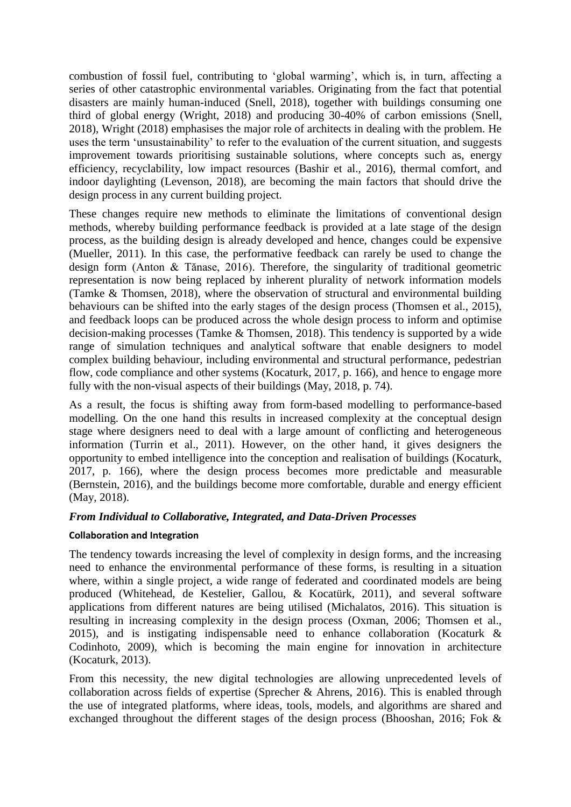combustion of fossil fuel, contributing to 'global warming', which is, in turn, affecting a series of other catastrophic environmental variables. Originating from the fact that potential disasters are mainly human-induced (Snell, 2018), together with buildings consuming one third of global energy (Wright, 2018) and producing 30-40% of carbon emissions (Snell, 2018), Wright (2018) emphasises the major role of architects in dealing with the problem. He uses the term 'unsustainability' to refer to the evaluation of the current situation, and suggests improvement towards prioritising sustainable solutions, where concepts such as, energy efficiency, recyclability, low impact resources (Bashir et al., 2016), thermal comfort, and indoor daylighting (Levenson, 2018), are becoming the main factors that should drive the design process in any current building project.

These changes require new methods to eliminate the limitations of conventional design methods, whereby building performance feedback is provided at a late stage of the design process, as the building design is already developed and hence, changes could be expensive (Mueller, 2011). In this case, the performative feedback can rarely be used to change the design form (Anton & Tănase, 2016). Therefore, the singularity of traditional geometric representation is now being replaced by inherent plurality of network information models (Tamke & Thomsen, 2018), where the observation of structural and environmental building behaviours can be shifted into the early stages of the design process (Thomsen et al., 2015), and feedback loops can be produced across the whole design process to inform and optimise decision-making processes (Tamke & Thomsen, 2018). This tendency is supported by a wide range of simulation techniques and analytical software that enable designers to model complex building behaviour, including environmental and structural performance, pedestrian flow, code compliance and other systems (Kocaturk, 2017, p. 166), and hence to engage more fully with the non-visual aspects of their buildings (May, 2018, p. 74).

As a result, the focus is shifting away from form-based modelling to performance-based modelling. On the one hand this results in increased complexity at the conceptual design stage where designers need to deal with a large amount of conflicting and heterogeneous information (Turrin et al., 2011). However, on the other hand, it gives designers the opportunity to embed intelligence into the conception and realisation of buildings (Kocaturk, 2017, p. 166), where the design process becomes more predictable and measurable (Bernstein, 2016), and the buildings become more comfortable, durable and energy efficient (May, 2018).

#### *From Individual to Collaborative, Integrated, and Data-Driven Processes*

#### **Collaboration and Integration**

The tendency towards increasing the level of complexity in design forms, and the increasing need to enhance the environmental performance of these forms, is resulting in a situation where, within a single project, a wide range of federated and coordinated models are being produced (Whitehead, de Kestelier, Gallou, & Kocatürk, 2011), and several software applications from different natures are being utilised (Michalatos, 2016). This situation is resulting in increasing complexity in the design process (Oxman, 2006; Thomsen et al., 2015), and is instigating indispensable need to enhance collaboration (Kocaturk & Codinhoto, 2009), which is becoming the main engine for innovation in architecture (Kocaturk, 2013).

From this necessity, the new digital technologies are allowing unprecedented levels of collaboration across fields of expertise (Sprecher & Ahrens, 2016). This is enabled through the use of integrated platforms, where ideas, tools, models, and algorithms are shared and exchanged throughout the different stages of the design process (Bhooshan, 2016; Fok &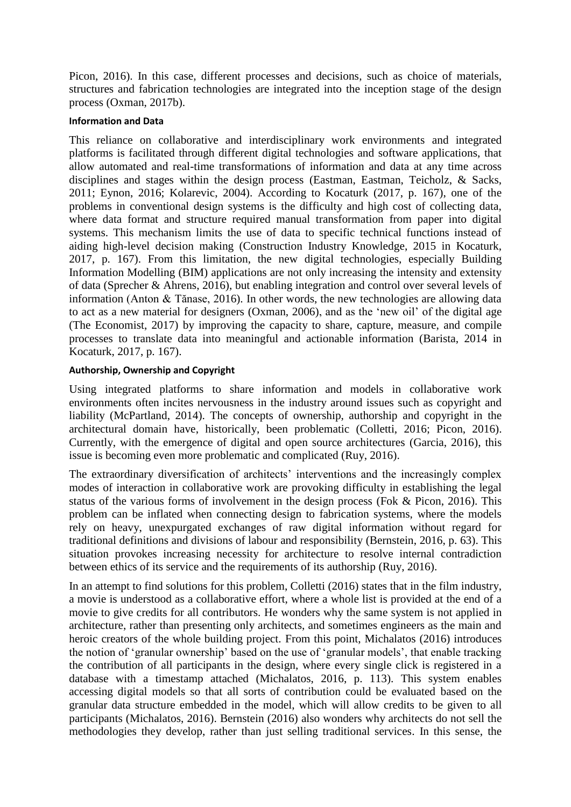Picon, 2016). In this case, different processes and decisions, such as choice of materials, structures and fabrication technologies are integrated into the inception stage of the design process (Oxman, 2017b).

#### **Information and Data**

This reliance on collaborative and interdisciplinary work environments and integrated platforms is facilitated through different digital technologies and software applications, that allow automated and real-time transformations of information and data at any time across disciplines and stages within the design process (Eastman, Eastman, Teicholz, & Sacks, 2011; Eynon, 2016; Kolarevic, 2004). According to Kocaturk (2017, p. 167), one of the problems in conventional design systems is the difficulty and high cost of collecting data, where data format and structure required manual transformation from paper into digital systems. This mechanism limits the use of data to specific technical functions instead of aiding high-level decision making (Construction Industry Knowledge, 2015 in Kocaturk, 2017, p. 167). From this limitation, the new digital technologies, especially Building Information Modelling (BIM) applications are not only increasing the intensity and extensity of data (Sprecher & Ahrens, 2016), but enabling integration and control over several levels of information (Anton & Tănase, 2016). In other words, the new technologies are allowing data to act as a new material for designers (Oxman, 2006), and as the 'new oil' of the digital age (The Economist, 2017) by improving the capacity to share, capture, measure, and compile processes to translate data into meaningful and actionable information (Barista, 2014 in Kocaturk, 2017, p. 167).

#### **Authorship, Ownership and Copyright**

Using integrated platforms to share information and models in collaborative work environments often incites nervousness in the industry around issues such as copyright and liability (McPartland, 2014). The concepts of ownership, authorship and copyright in the architectural domain have, historically, been problematic (Colletti, 2016; Picon, 2016). Currently, with the emergence of digital and open source architectures (Garcia, 2016), this issue is becoming even more problematic and complicated (Ruy, 2016).

The extraordinary diversification of architects' interventions and the increasingly complex modes of interaction in collaborative work are provoking difficulty in establishing the legal status of the various forms of involvement in the design process (Fok & Picon, 2016). This problem can be inflated when connecting design to fabrication systems, where the models rely on heavy, unexpurgated exchanges of raw digital information without regard for traditional definitions and divisions of labour and responsibility (Bernstein, 2016, p. 63). This situation provokes increasing necessity for architecture to resolve internal contradiction between ethics of its service and the requirements of its authorship (Ruy, 2016).

In an attempt to find solutions for this problem, Colletti (2016) states that in the film industry, a movie is understood as a collaborative effort, where a whole list is provided at the end of a movie to give credits for all contributors. He wonders why the same system is not applied in architecture, rather than presenting only architects, and sometimes engineers as the main and heroic creators of the whole building project. From this point, Michalatos (2016) introduces the notion of 'granular ownership' based on the use of 'granular models', that enable tracking the contribution of all participants in the design, where every single click is registered in a database with a timestamp attached (Michalatos, 2016, p. 113). This system enables accessing digital models so that all sorts of contribution could be evaluated based on the granular data structure embedded in the model, which will allow credits to be given to all participants (Michalatos, 2016). Bernstein (2016) also wonders why architects do not sell the methodologies they develop, rather than just selling traditional services. In this sense, the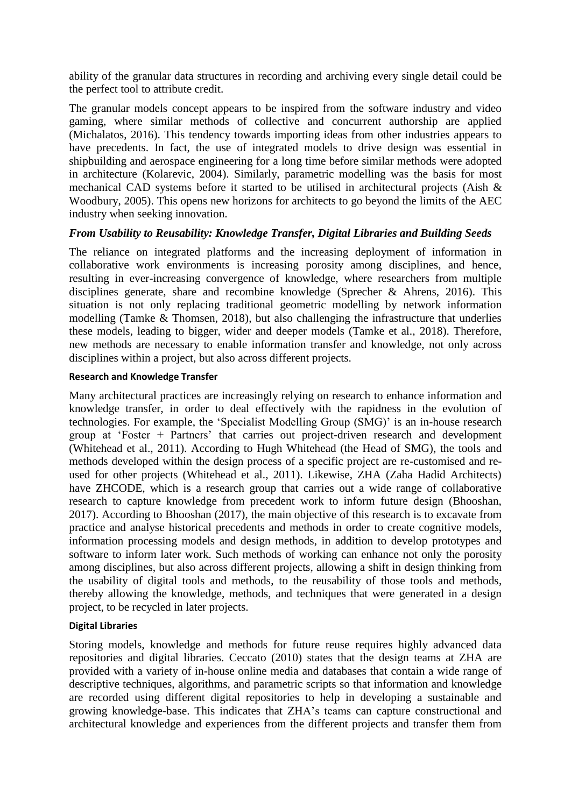ability of the granular data structures in recording and archiving every single detail could be the perfect tool to attribute credit.

The granular models concept appears to be inspired from the software industry and video gaming, where similar methods of collective and concurrent authorship are applied (Michalatos, 2016). This tendency towards importing ideas from other industries appears to have precedents. In fact, the use of integrated models to drive design was essential in shipbuilding and aerospace engineering for a long time before similar methods were adopted in architecture (Kolarevic, 2004). Similarly, parametric modelling was the basis for most mechanical CAD systems before it started to be utilised in architectural projects (Aish & Woodbury, 2005). This opens new horizons for architects to go beyond the limits of the AEC industry when seeking innovation.

## *From Usability to Reusability: Knowledge Transfer, Digital Libraries and Building Seeds*

The reliance on integrated platforms and the increasing deployment of information in collaborative work environments is increasing porosity among disciplines, and hence, resulting in ever-increasing convergence of knowledge, where researchers from multiple disciplines generate, share and recombine knowledge (Sprecher & Ahrens, 2016). This situation is not only replacing traditional geometric modelling by network information modelling (Tamke & Thomsen, 2018), but also challenging the infrastructure that underlies these models, leading to bigger, wider and deeper models (Tamke et al., 2018). Therefore, new methods are necessary to enable information transfer and knowledge, not only across disciplines within a project, but also across different projects.

#### **Research and Knowledge Transfer**

Many architectural practices are increasingly relying on research to enhance information and knowledge transfer, in order to deal effectively with the rapidness in the evolution of technologies. For example, the 'Specialist Modelling Group (SMG)' is an in-house research group at 'Foster + Partners' that carries out project-driven research and development (Whitehead et al., 2011). According to Hugh Whitehead (the Head of SMG), the tools and methods developed within the design process of a specific project are re-customised and reused for other projects (Whitehead et al., 2011). Likewise, ZHA (Zaha Hadid Architects) have ZHCODE, which is a research group that carries out a wide range of collaborative research to capture knowledge from precedent work to inform future design (Bhooshan, 2017). According to Bhooshan (2017), the main objective of this research is to excavate from practice and analyse historical precedents and methods in order to create cognitive models, information processing models and design methods, in addition to develop prototypes and software to inform later work. Such methods of working can enhance not only the porosity among disciplines, but also across different projects, allowing a shift in design thinking from the usability of digital tools and methods, to the reusability of those tools and methods, thereby allowing the knowledge, methods, and techniques that were generated in a design project, to be recycled in later projects.

#### **Digital Libraries**

Storing models, knowledge and methods for future reuse requires highly advanced data repositories and digital libraries. Ceccato (2010) states that the design teams at ZHA are provided with a variety of in-house online media and databases that contain a wide range of descriptive techniques, algorithms, and parametric scripts so that information and knowledge are recorded using different digital repositories to help in developing a sustainable and growing knowledge-base. This indicates that ZHA's teams can capture constructional and architectural knowledge and experiences from the different projects and transfer them from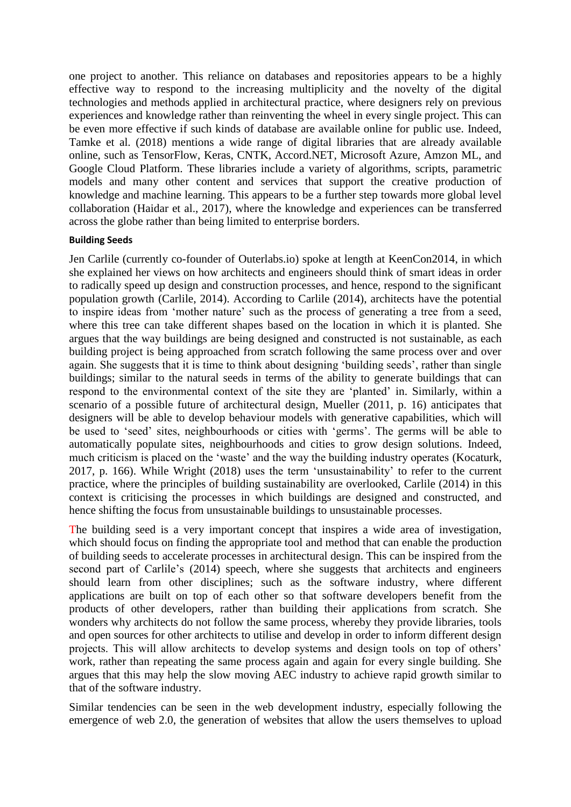one project to another. This reliance on databases and repositories appears to be a highly effective way to respond to the increasing multiplicity and the novelty of the digital technologies and methods applied in architectural practice, where designers rely on previous experiences and knowledge rather than reinventing the wheel in every single project. This can be even more effective if such kinds of database are available online for public use. Indeed, Tamke et al. (2018) mentions a wide range of digital libraries that are already available online, such as TensorFlow, Keras, CNTK, Accord.NET, Microsoft Azure, Amzon ML, and Google Cloud Platform. These libraries include a variety of algorithms, scripts, parametric models and many other content and services that support the creative production of knowledge and machine learning. This appears to be a further step towards more global level collaboration (Haidar et al., 2017), where the knowledge and experiences can be transferred across the globe rather than being limited to enterprise borders.

#### **Building Seeds**

Jen Carlile (currently co-founder of Outerlabs.io) spoke at length at KeenCon2014, in which she explained her views on how architects and engineers should think of smart ideas in order to radically speed up design and construction processes, and hence, respond to the significant population growth (Carlile, 2014). According to Carlile (2014), architects have the potential to inspire ideas from 'mother nature' such as the process of generating a tree from a seed, where this tree can take different shapes based on the location in which it is planted. She argues that the way buildings are being designed and constructed is not sustainable, as each building project is being approached from scratch following the same process over and over again. She suggests that it is time to think about designing 'building seeds', rather than single buildings; similar to the natural seeds in terms of the ability to generate buildings that can respond to the environmental context of the site they are 'planted' in. Similarly, within a scenario of a possible future of architectural design, Mueller (2011, p. 16) anticipates that designers will be able to develop behaviour models with generative capabilities, which will be used to 'seed' sites, neighbourhoods or cities with 'germs'. The germs will be able to automatically populate sites, neighbourhoods and cities to grow design solutions. Indeed, much criticism is placed on the 'waste' and the way the building industry operates (Kocaturk, 2017, p. 166). While Wright (2018) uses the term 'unsustainability' to refer to the current practice, where the principles of building sustainability are overlooked, Carlile (2014) in this context is criticising the processes in which buildings are designed and constructed, and hence shifting the focus from unsustainable buildings to unsustainable processes.

The building seed is a very important concept that inspires a wide area of investigation, which should focus on finding the appropriate tool and method that can enable the production of building seeds to accelerate processes in architectural design. This can be inspired from the second part of Carlile's (2014) speech, where she suggests that architects and engineers should learn from other disciplines; such as the software industry, where different applications are built on top of each other so that software developers benefit from the products of other developers, rather than building their applications from scratch. She wonders why architects do not follow the same process, whereby they provide libraries, tools and open sources for other architects to utilise and develop in order to inform different design projects. This will allow architects to develop systems and design tools on top of others' work, rather than repeating the same process again and again for every single building. She argues that this may help the slow moving AEC industry to achieve rapid growth similar to that of the software industry.

Similar tendencies can be seen in the web development industry, especially following the emergence of web 2.0, the generation of websites that allow the users themselves to upload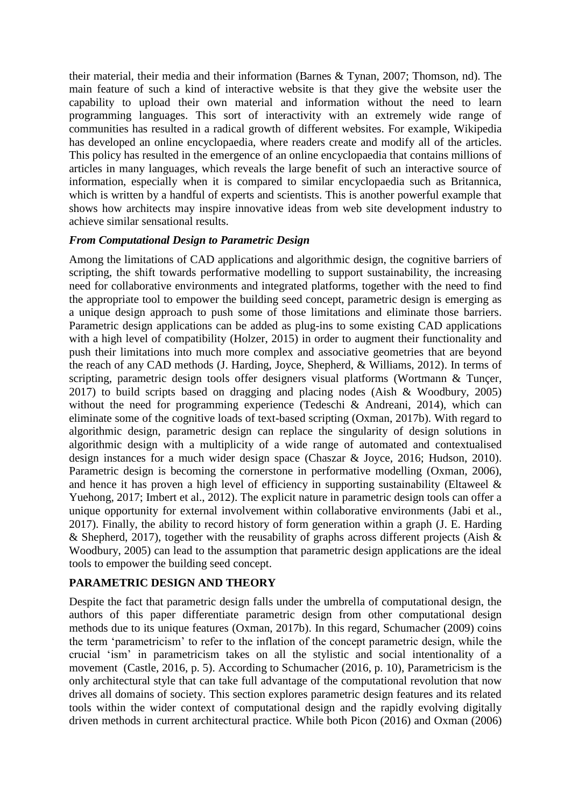their material, their media and their information (Barnes & Tynan, 2007; Thomson, nd). The main feature of such a kind of interactive website is that they give the website user the capability to upload their own material and information without the need to learn programming languages. This sort of interactivity with an extremely wide range of communities has resulted in a radical growth of different websites. For example, Wikipedia has developed an online encyclopaedia, where readers create and modify all of the articles. This policy has resulted in the emergence of an online encyclopaedia that contains millions of articles in many languages, which reveals the large benefit of such an interactive source of information, especially when it is compared to similar encyclopaedia such as Britannica, which is written by a handful of experts and scientists. This is another powerful example that shows how architects may inspire innovative ideas from web site development industry to achieve similar sensational results.

# *From Computational Design to Parametric Design*

Among the limitations of CAD applications and algorithmic design, the cognitive barriers of scripting, the shift towards performative modelling to support sustainability, the increasing need for collaborative environments and integrated platforms, together with the need to find the appropriate tool to empower the building seed concept, parametric design is emerging as a unique design approach to push some of those limitations and eliminate those barriers. Parametric design applications can be added as plug-ins to some existing CAD applications with a high level of compatibility (Holzer, 2015) in order to augment their functionality and push their limitations into much more complex and associative geometries that are beyond the reach of any CAD methods (J. Harding, Joyce, Shepherd, & Williams, 2012). In terms of scripting, parametric design tools offer designers visual platforms (Wortmann & Tunçer, 2017) to build scripts based on dragging and placing nodes (Aish & Woodbury, 2005) without the need for programming experience (Tedeschi & Andreani, 2014), which can eliminate some of the cognitive loads of text-based scripting (Oxman, 2017b). With regard to algorithmic design, parametric design can replace the singularity of design solutions in algorithmic design with a multiplicity of a wide range of automated and contextualised design instances for a much wider design space (Chaszar & Joyce, 2016; Hudson, 2010). Parametric design is becoming the cornerstone in performative modelling (Oxman, 2006), and hence it has proven a high level of efficiency in supporting sustainability (Eltaweel  $\&$ Yuehong, 2017; Imbert et al., 2012). The explicit nature in parametric design tools can offer a unique opportunity for external involvement within collaborative environments (Jabi et al., 2017). Finally, the ability to record history of form generation within a graph (J. E. Harding & Shepherd, 2017), together with the reusability of graphs across different projects (Aish  $\&$ Woodbury, 2005) can lead to the assumption that parametric design applications are the ideal tools to empower the building seed concept.

# **PARAMETRIC DESIGN AND THEORY**

Despite the fact that parametric design falls under the umbrella of computational design, the authors of this paper differentiate parametric design from other computational design methods due to its unique features (Oxman, 2017b). In this regard, Schumacher (2009) coins the term 'parametricism' to refer to the inflation of the concept parametric design, while the crucial 'ism' in parametricism takes on all the stylistic and social intentionality of a movement (Castle, 2016, p. 5). According to Schumacher (2016, p. 10), Parametricism is the only architectural style that can take full advantage of the computational revolution that now drives all domains of society. This section explores parametric design features and its related tools within the wider context of computational design and the rapidly evolving digitally driven methods in current architectural practice. While both Picon (2016) and Oxman (2006)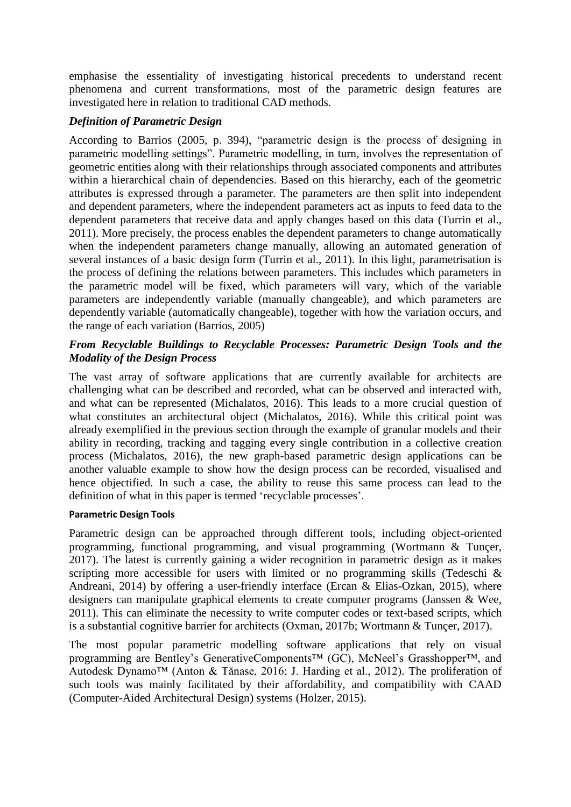emphasise the essentiality of investigating historical precedents to understand recent phenomena and current transformations, most of the parametric design features are investigated here in relation to traditional CAD methods.

# *Definition of Parametric Design*

According to Barrios (2005, p. 394), "parametric design is the process of designing in parametric modelling settings". Parametric modelling, in turn, involves the representation of geometric entities along with their relationships through associated components and attributes within a hierarchical chain of dependencies. Based on this hierarchy, each of the geometric attributes is expressed through a parameter. The parameters are then split into independent and dependent parameters, where the independent parameters act as inputs to feed data to the dependent parameters that receive data and apply changes based on this data (Turrin et al., 2011). More precisely, the process enables the dependent parameters to change automatically when the independent parameters change manually, allowing an automated generation of several instances of a basic design form (Turrin et al., 2011). In this light, parametrisation is the process of defining the relations between parameters. This includes which parameters in the parametric model will be fixed, which parameters will vary, which of the variable parameters are independently variable (manually changeable), and which parameters are dependently variable (automatically changeable), together with how the variation occurs, and the range of each variation (Barrios, 2005)

## *From Recyclable Buildings to Recyclable Processes: Parametric Design Tools and the Modality of the Design Process*

The vast array of software applications that are currently available for architects are challenging what can be described and recorded, what can be observed and interacted with, and what can be represented (Michalatos, 2016). This leads to a more crucial question of what constitutes an architectural object (Michalatos, 2016). While this critical point was already exemplified in the previous section through the example of granular models and their ability in recording, tracking and tagging every single contribution in a collective creation process (Michalatos, 2016), the new graph-based parametric design applications can be another valuable example to show how the design process can be recorded, visualised and hence objectified. In such a case, the ability to reuse this same process can lead to the definition of what in this paper is termed 'recyclable processes'.

#### **Parametric Design Tools**

Parametric design can be approached through different tools, including object-oriented programming, functional programming, and visual programming (Wortmann & Tunçer, 2017). The latest is currently gaining a wider recognition in parametric design as it makes scripting more accessible for users with limited or no programming skills (Tedeschi & Andreani, 2014) by offering a user-friendly interface (Ercan & Elias-Ozkan, 2015), where designers can manipulate graphical elements to create computer programs (Janssen & Wee, 2011). This can eliminate the necessity to write computer codes or text-based scripts, which is a substantial cognitive barrier for architects (Oxman, 2017b; Wortmann & Tunçer, 2017).

The most popular parametric modelling software applications that rely on visual programming are Bentley's GenerativeComponents™ (GC), McNeel's Grasshopper™, and Autodesk Dynamo™ (Anton & Tănase, 2016; J. Harding et al., 2012). The proliferation of such tools was mainly facilitated by their affordability, and compatibility with CAAD (Computer-Aided Architectural Design) systems (Holzer, 2015).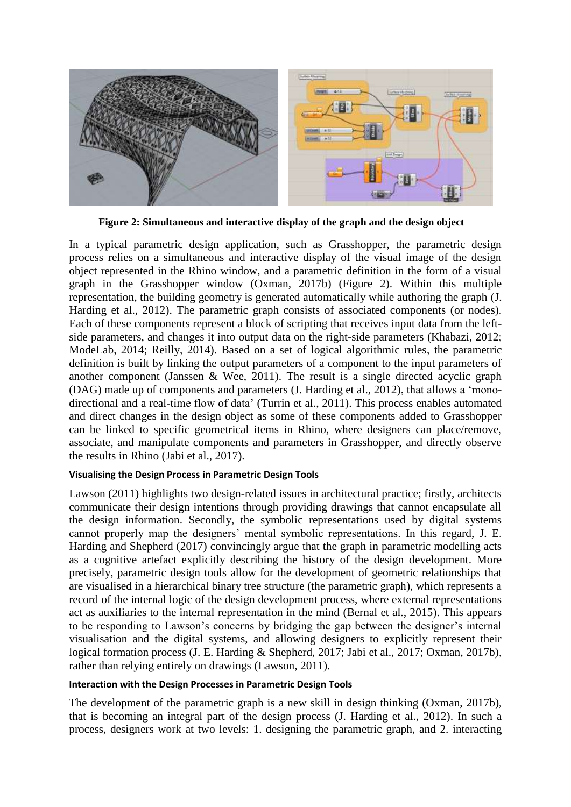

**Figure 2: Simultaneous and interactive display of the graph and the design object**

In a typical parametric design application, such as Grasshopper, the parametric design process relies on a simultaneous and interactive display of the visual image of the design object represented in the Rhino window, and a parametric definition in the form of a visual graph in the Grasshopper window (Oxman, 2017b) (Figure 2). Within this multiple representation, the building geometry is generated automatically while authoring the graph (J. Harding et al., 2012). The parametric graph consists of associated components (or nodes). Each of these components represent a block of scripting that receives input data from the leftside parameters, and changes it into output data on the right-side parameters (Khabazi, 2012; ModeLab, 2014; Reilly, 2014). Based on a set of logical algorithmic rules, the parametric definition is built by linking the output parameters of a component to the input parameters of another component (Janssen & Wee, 2011). The result is a single directed acyclic graph (DAG) made up of components and parameters (J. Harding et al., 2012), that allows a 'monodirectional and a real-time flow of data' (Turrin et al., 2011). This process enables automated and direct changes in the design object as some of these components added to Grasshopper can be linked to specific geometrical items in Rhino, where designers can place/remove, associate, and manipulate components and parameters in Grasshopper, and directly observe the results in Rhino (Jabi et al., 2017).

# **Visualising the Design Process in Parametric Design Tools**

Lawson (2011) highlights two design-related issues in architectural practice; firstly, architects communicate their design intentions through providing drawings that cannot encapsulate all the design information. Secondly, the symbolic representations used by digital systems cannot properly map the designers' mental symbolic representations. In this regard, J. E. Harding and Shepherd (2017) convincingly argue that the graph in parametric modelling acts as a cognitive artefact explicitly describing the history of the design development. More precisely, parametric design tools allow for the development of geometric relationships that are visualised in a hierarchical binary tree structure (the parametric graph), which represents a record of the internal logic of the design development process, where external representations act as auxiliaries to the internal representation in the mind (Bernal et al., 2015). This appears to be responding to Lawson's concerns by bridging the gap between the designer's internal visualisation and the digital systems, and allowing designers to explicitly represent their logical formation process (J. E. Harding & Shepherd, 2017; Jabi et al., 2017; Oxman, 2017b), rather than relying entirely on drawings (Lawson, 2011).

#### **Interaction with the Design Processes in Parametric Design Tools**

The development of the parametric graph is a new skill in design thinking (Oxman, 2017b), that is becoming an integral part of the design process (J. Harding et al., 2012). In such a process, designers work at two levels: 1. designing the parametric graph, and 2. interacting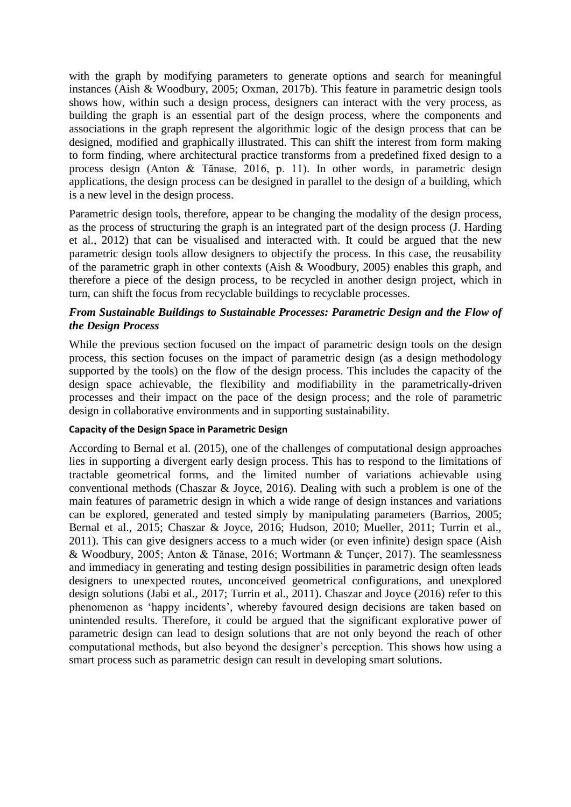with the graph by modifying parameters to generate options and search for meaningful instances (Aish & Woodbury, 2005; Oxman, 2017b). This feature in parametric design tools shows how, within such a design process, designers can interact with the very process, as building the graph is an essential part of the design process, where the components and associations in the graph represent the algorithmic logic of the design process that can be designed, modified and graphically illustrated. This can shift the interest from form making to form finding, where architectural practice transforms from a predefined fixed design to a process design (Anton & Tănase, 2016, p. 11). In other words, in parametric design applications, the design process can be designed in parallel to the design of a building, which is a new level in the design process.

Parametric design tools, therefore, appear to be changing the modality of the design process, as the process of structuring the graph is an integrated part of the design process (J. Harding et al., 2012) that can be visualised and interacted with. It could be argued that the new parametric design tools allow designers to objectify the process. In this case, the reusability of the parametric graph in other contexts (Aish & Woodbury, 2005) enables this graph, and therefore a piece of the design process, to be recycled in another design project, which in turn, can shift the focus from recyclable buildings to recyclable processes.

## *From Sustainable Buildings to Sustainable Processes: Parametric Design and the Flow of the Design Process*

While the previous section focused on the impact of parametric design tools on the design process, this section focuses on the impact of parametric design (as a design methodology supported by the tools) on the flow of the design process. This includes the capacity of the design space achievable, the flexibility and modifiability in the parametrically-driven processes and their impact on the pace of the design process; and the role of parametric design in collaborative environments and in supporting sustainability.

#### **Capacity of the Design Space in Parametric Design**

According to Bernal et al. (2015), one of the challenges of computational design approaches lies in supporting a divergent early design process. This has to respond to the limitations of tractable geometrical forms, and the limited number of variations achievable using conventional methods (Chaszar & Joyce, 2016). Dealing with such a problem is one of the main features of parametric design in which a wide range of design instances and variations can be explored, generated and tested simply by manipulating parameters (Barrios, 2005; Bernal et al., 2015; Chaszar & Joyce, 2016; Hudson, 2010; Mueller, 2011; Turrin et al., 2011). This can give designers access to a much wider (or even infinite) design space (Aish & Woodbury, 2005; Anton & Tănase, 2016; Wortmann & Tunçer, 2017). The seamlessness and immediacy in generating and testing design possibilities in parametric design often leads designers to unexpected routes, unconceived geometrical configurations, and unexplored design solutions (Jabi et al., 2017; Turrin et al., 2011). Chaszar and Joyce (2016) refer to this phenomenon as 'happy incidents', whereby favoured design decisions are taken based on unintended results. Therefore, it could be argued that the significant explorative power of parametric design can lead to design solutions that are not only beyond the reach of other computational methods, but also beyond the designer's perception. This shows how using a smart process such as parametric design can result in developing smart solutions.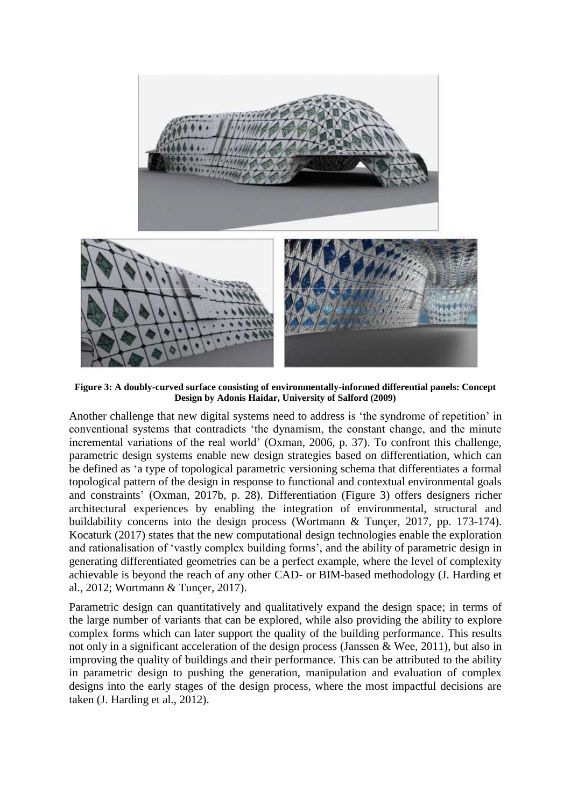

**Figure 3: A doubly-curved surface consisting of environmentally-informed differential panels: Concept Design by Adonis Haidar, University of Salford (2009)**

Another challenge that new digital systems need to address is 'the syndrome of repetition' in conventional systems that contradicts 'the dynamism, the constant change, and the minute incremental variations of the real world' (Oxman, 2006, p. 37). To confront this challenge, parametric design systems enable new design strategies based on differentiation, which can be defined as 'a type of topological parametric versioning schema that differentiates a formal topological pattern of the design in response to functional and contextual environmental goals and constraints' (Oxman, 2017b, p. 28). Differentiation (Figure 3) offers designers richer architectural experiences by enabling the integration of environmental, structural and buildability concerns into the design process (Wortmann & Tunçer, 2017, pp. 173-174). Kocaturk (2017) states that the new computational design technologies enable the exploration and rationalisation of 'vastly complex building forms', and the ability of parametric design in generating differentiated geometries can be a perfect example, where the level of complexity achievable is beyond the reach of any other CAD- or BIM-based methodology (J. Harding et al., 2012; Wortmann & Tunçer, 2017).

Parametric design can quantitatively and qualitatively expand the design space; in terms of the large number of variants that can be explored, while also providing the ability to explore complex forms which can later support the quality of the building performance. This results not only in a significant acceleration of the design process (Janssen & Wee, 2011), but also in improving the quality of buildings and their performance. This can be attributed to the ability in parametric design to pushing the generation, manipulation and evaluation of complex designs into the early stages of the design process, where the most impactful decisions are taken (J. Harding et al., 2012).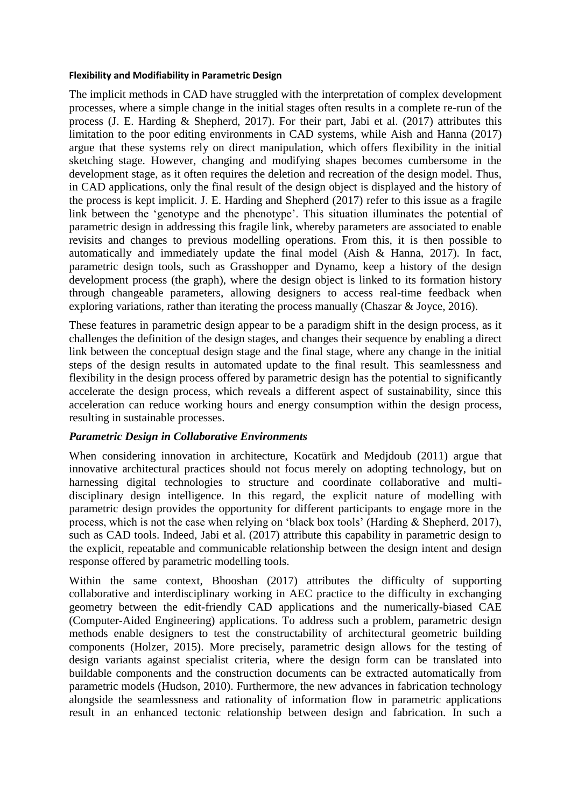#### **Flexibility and Modifiability in Parametric Design**

The implicit methods in CAD have struggled with the interpretation of complex development processes, where a simple change in the initial stages often results in a complete re-run of the process (J. E. Harding & Shepherd, 2017). For their part, Jabi et al. (2017) attributes this limitation to the poor editing environments in CAD systems, while Aish and Hanna (2017) argue that these systems rely on direct manipulation, which offers flexibility in the initial sketching stage. However, changing and modifying shapes becomes cumbersome in the development stage, as it often requires the deletion and recreation of the design model. Thus, in CAD applications, only the final result of the design object is displayed and the history of the process is kept implicit. J. E. Harding and Shepherd (2017) refer to this issue as a fragile link between the 'genotype and the phenotype'. This situation illuminates the potential of parametric design in addressing this fragile link, whereby parameters are associated to enable revisits and changes to previous modelling operations. From this, it is then possible to automatically and immediately update the final model (Aish & Hanna, 2017). In fact, parametric design tools, such as Grasshopper and Dynamo, keep a history of the design development process (the graph), where the design object is linked to its formation history through changeable parameters, allowing designers to access real-time feedback when exploring variations, rather than iterating the process manually (Chaszar & Joyce, 2016).

These features in parametric design appear to be a paradigm shift in the design process, as it challenges the definition of the design stages, and changes their sequence by enabling a direct link between the conceptual design stage and the final stage, where any change in the initial steps of the design results in automated update to the final result. This seamlessness and flexibility in the design process offered by parametric design has the potential to significantly accelerate the design process, which reveals a different aspect of sustainability, since this acceleration can reduce working hours and energy consumption within the design process, resulting in sustainable processes.

#### *Parametric Design in Collaborative Environments*

When considering innovation in architecture, Kocatürk and Medjdoub (2011) argue that innovative architectural practices should not focus merely on adopting technology, but on harnessing digital technologies to structure and coordinate collaborative and multidisciplinary design intelligence. In this regard, the explicit nature of modelling with parametric design provides the opportunity for different participants to engage more in the process, which is not the case when relying on 'black box tools' (Harding & Shepherd, 2017), such as CAD tools. Indeed, Jabi et al. (2017) attribute this capability in parametric design to the explicit, repeatable and communicable relationship between the design intent and design response offered by parametric modelling tools.

Within the same context, Bhooshan (2017) attributes the difficulty of supporting collaborative and interdisciplinary working in AEC practice to the difficulty in exchanging geometry between the edit-friendly CAD applications and the numerically-biased CAE (Computer-Aided Engineering) applications. To address such a problem, parametric design methods enable designers to test the constructability of architectural geometric building components (Holzer, 2015). More precisely, parametric design allows for the testing of design variants against specialist criteria, where the design form can be translated into buildable components and the construction documents can be extracted automatically from parametric models (Hudson, 2010). Furthermore, the new advances in fabrication technology alongside the seamlessness and rationality of information flow in parametric applications result in an enhanced tectonic relationship between design and fabrication. In such a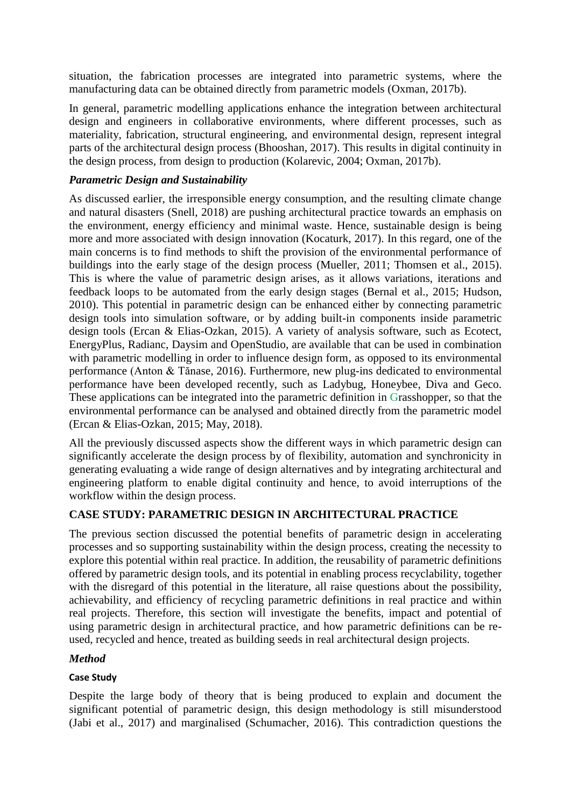situation, the fabrication processes are integrated into parametric systems, where the manufacturing data can be obtained directly from parametric models (Oxman, 2017b).

In general, parametric modelling applications enhance the integration between architectural design and engineers in collaborative environments, where different processes, such as materiality, fabrication, structural engineering, and environmental design, represent integral parts of the architectural design process (Bhooshan, 2017). This results in digital continuity in the design process, from design to production (Kolarevic, 2004; Oxman, 2017b).

## *Parametric Design and Sustainability*

As discussed earlier, the irresponsible energy consumption, and the resulting climate change and natural disasters (Snell, 2018) are pushing architectural practice towards an emphasis on the environment, energy efficiency and minimal waste. Hence, sustainable design is being more and more associated with design innovation (Kocaturk, 2017). In this regard, one of the main concerns is to find methods to shift the provision of the environmental performance of buildings into the early stage of the design process (Mueller, 2011; Thomsen et al., 2015). This is where the value of parametric design arises, as it allows variations, iterations and feedback loops to be automated from the early design stages (Bernal et al., 2015; Hudson, 2010). This potential in parametric design can be enhanced either by connecting parametric design tools into simulation software, or by adding built-in components inside parametric design tools (Ercan & Elias-Ozkan, 2015). A variety of analysis software, such as Ecotect, EnergyPlus, Radianc, Daysim and OpenStudio, are available that can be used in combination with parametric modelling in order to influence design form, as opposed to its environmental performance (Anton & Tănase, 2016). Furthermore, new plug-ins dedicated to environmental performance have been developed recently, such as Ladybug, Honeybee, Diva and Geco. These applications can be integrated into the parametric definition in Grasshopper, so that the environmental performance can be analysed and obtained directly from the parametric model (Ercan & Elias-Ozkan, 2015; May, 2018).

All the previously discussed aspects show the different ways in which parametric design can significantly accelerate the design process by of flexibility, automation and synchronicity in generating evaluating a wide range of design alternatives and by integrating architectural and engineering platform to enable digital continuity and hence, to avoid interruptions of the workflow within the design process.

# **CASE STUDY: PARAMETRIC DESIGN IN ARCHITECTURAL PRACTICE**

The previous section discussed the potential benefits of parametric design in accelerating processes and so supporting sustainability within the design process, creating the necessity to explore this potential within real practice. In addition, the reusability of parametric definitions offered by parametric design tools, and its potential in enabling process recyclability, together with the disregard of this potential in the literature, all raise questions about the possibility, achievability, and efficiency of recycling parametric definitions in real practice and within real projects. Therefore, this section will investigate the benefits, impact and potential of using parametric design in architectural practice, and how parametric definitions can be reused, recycled and hence, treated as building seeds in real architectural design projects.

# *Method*

#### **Case Study**

Despite the large body of theory that is being produced to explain and document the significant potential of parametric design, this design methodology is still misunderstood (Jabi et al., 2017) and marginalised (Schumacher, 2016). This contradiction questions the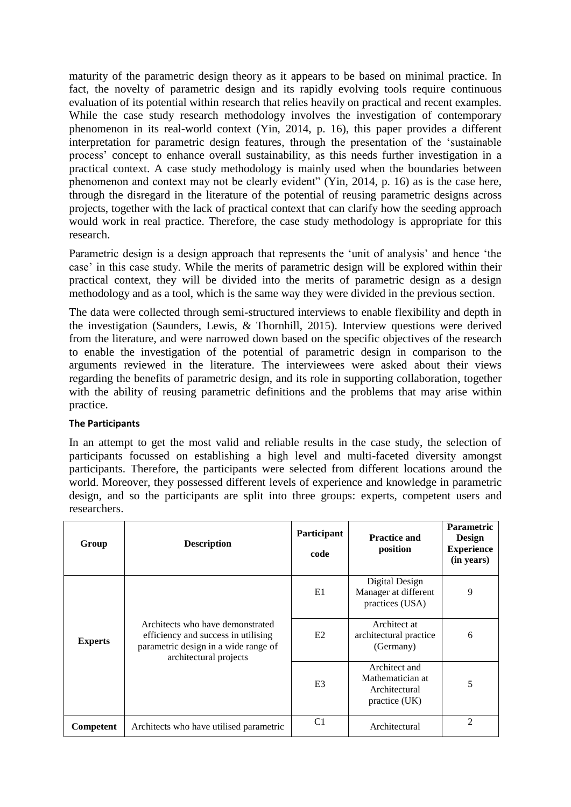maturity of the parametric design theory as it appears to be based on minimal practice. In fact, the novelty of parametric design and its rapidly evolving tools require continuous evaluation of its potential within research that relies heavily on practical and recent examples. While the case study research methodology involves the investigation of contemporary phenomenon in its real-world context (Yin, 2014, p. 16), this paper provides a different interpretation for parametric design features, through the presentation of the 'sustainable process' concept to enhance overall sustainability, as this needs further investigation in a practical context. A case study methodology is mainly used when the boundaries between phenomenon and context may not be clearly evident" (Yin, 2014, p. 16) as is the case here, through the disregard in the literature of the potential of reusing parametric designs across projects, together with the lack of practical context that can clarify how the seeding approach would work in real practice. Therefore, the case study methodology is appropriate for this research.

Parametric design is a design approach that represents the 'unit of analysis' and hence 'the case' in this case study. While the merits of parametric design will be explored within their practical context, they will be divided into the merits of parametric design as a design methodology and as a tool, which is the same way they were divided in the previous section.

The data were collected through semi-structured interviews to enable flexibility and depth in the investigation (Saunders, Lewis, & Thornhill, 2015). Interview questions were derived from the literature, and were narrowed down based on the specific objectives of the research to enable the investigation of the potential of parametric design in comparison to the arguments reviewed in the literature. The interviewees were asked about their views regarding the benefits of parametric design, and its role in supporting collaboration, together with the ability of reusing parametric definitions and the problems that may arise within practice.

#### **The Participants**

In an attempt to get the most valid and reliable results in the case study, the selection of participants focussed on establishing a high level and multi-faceted diversity amongst participants. Therefore, the participants were selected from different locations around the world. Moreover, they possessed different levels of experience and knowledge in parametric design, and so the participants are split into three groups: experts, competent users and researchers.

| Group          | <b>Description</b>                                                                                                                        | Participant<br>code | <b>Practice and</b><br>position                                     | <b>Parametric</b><br>Design<br><b>Experience</b><br>(in years) |
|----------------|-------------------------------------------------------------------------------------------------------------------------------------------|---------------------|---------------------------------------------------------------------|----------------------------------------------------------------|
| <b>Experts</b> | Architects who have demonstrated<br>efficiency and success in utilising<br>parametric design in a wide range of<br>architectural projects | E1                  | Digital Design<br>Manager at different<br>practices (USA)           | 9                                                              |
|                |                                                                                                                                           | E2                  | Architect at<br>architectural practice<br>(Germany)                 | 6                                                              |
|                |                                                                                                                                           | E <sub>3</sub>      | Architect and<br>Mathematician at<br>Architectural<br>practice (UK) | 5                                                              |
| Competent      | Architects who have utilised parametric                                                                                                   | C <sub>1</sub>      | Architectural                                                       | $\overline{2}$                                                 |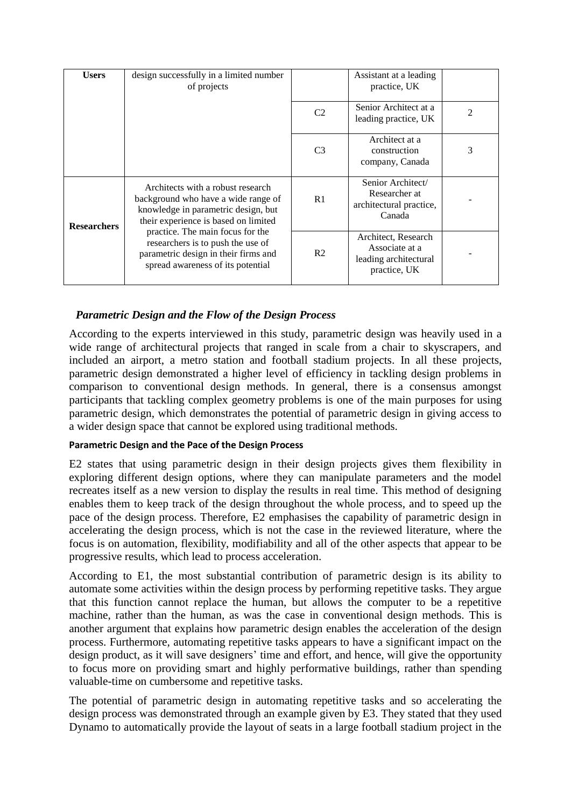| <b>Users</b>       | design successfully in a limited number<br>of projects                                                                                                                                                                                                                                                        |                | Assistant at a leading<br>practice, UK                                         |                             |
|--------------------|---------------------------------------------------------------------------------------------------------------------------------------------------------------------------------------------------------------------------------------------------------------------------------------------------------------|----------------|--------------------------------------------------------------------------------|-----------------------------|
|                    |                                                                                                                                                                                                                                                                                                               | C <sub>2</sub> | Senior Architect at a<br>leading practice, UK                                  | $\mathcal{D}_{\mathcal{L}}$ |
|                    |                                                                                                                                                                                                                                                                                                               | C <sub>3</sub> | Architect at a<br>construction<br>company, Canada                              | 3                           |
| <b>Researchers</b> | Architects with a robust research<br>background who have a wide range of<br>knowledge in parametric design, but<br>their experience is based on limited<br>practice. The main focus for the<br>researchers is to push the use of<br>parametric design in their firms and<br>spread awareness of its potential | R <sub>1</sub> | Senior Architect/<br>Researcher at<br>architectural practice,<br>Canada        |                             |
|                    |                                                                                                                                                                                                                                                                                                               | R <sub>2</sub> | Architect, Research<br>Associate at a<br>leading architectural<br>practice, UK |                             |

# *Parametric Design and the Flow of the Design Process*

According to the experts interviewed in this study, parametric design was heavily used in a wide range of architectural projects that ranged in scale from a chair to skyscrapers, and included an airport, a metro station and football stadium projects. In all these projects, parametric design demonstrated a higher level of efficiency in tackling design problems in comparison to conventional design methods. In general, there is a consensus amongst participants that tackling complex geometry problems is one of the main purposes for using parametric design, which demonstrates the potential of parametric design in giving access to a wider design space that cannot be explored using traditional methods.

# **Parametric Design and the Pace of the Design Process**

E2 states that using parametric design in their design projects gives them flexibility in exploring different design options, where they can manipulate parameters and the model recreates itself as a new version to display the results in real time. This method of designing enables them to keep track of the design throughout the whole process, and to speed up the pace of the design process. Therefore, E2 emphasises the capability of parametric design in accelerating the design process, which is not the case in the reviewed literature, where the focus is on automation, flexibility, modifiability and all of the other aspects that appear to be progressive results, which lead to process acceleration.

According to E1, the most substantial contribution of parametric design is its ability to automate some activities within the design process by performing repetitive tasks. They argue that this function cannot replace the human, but allows the computer to be a repetitive machine, rather than the human, as was the case in conventional design methods. This is another argument that explains how parametric design enables the acceleration of the design process. Furthermore, automating repetitive tasks appears to have a significant impact on the design product, as it will save designers' time and effort, and hence, will give the opportunity to focus more on providing smart and highly performative buildings, rather than spending valuable-time on cumbersome and repetitive tasks.

The potential of parametric design in automating repetitive tasks and so accelerating the design process was demonstrated through an example given by E3. They stated that they used Dynamo to automatically provide the layout of seats in a large football stadium project in the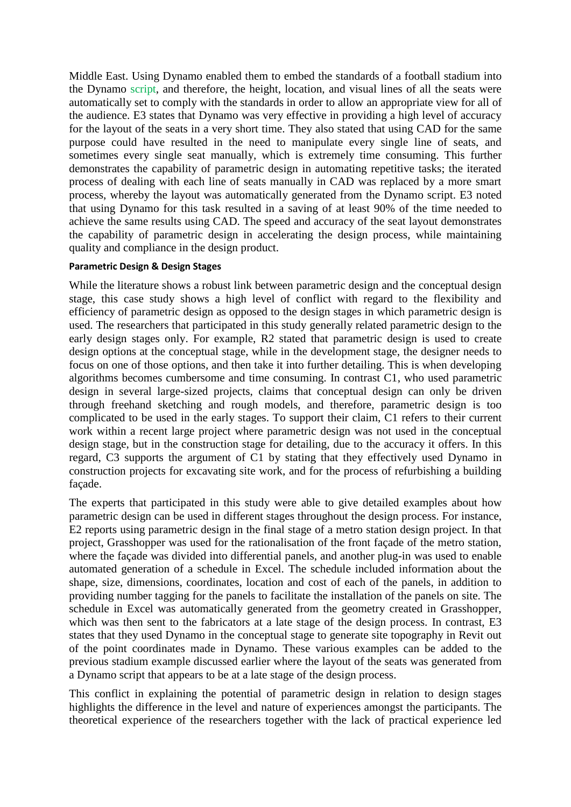Middle East. Using Dynamo enabled them to embed the standards of a football stadium into the Dynamo script, and therefore, the height, location, and visual lines of all the seats were automatically set to comply with the standards in order to allow an appropriate view for all of the audience. E3 states that Dynamo was very effective in providing a high level of accuracy for the layout of the seats in a very short time. They also stated that using CAD for the same purpose could have resulted in the need to manipulate every single line of seats, and sometimes every single seat manually, which is extremely time consuming. This further demonstrates the capability of parametric design in automating repetitive tasks; the iterated process of dealing with each line of seats manually in CAD was replaced by a more smart process, whereby the layout was automatically generated from the Dynamo script. E3 noted that using Dynamo for this task resulted in a saving of at least 90% of the time needed to achieve the same results using CAD. The speed and accuracy of the seat layout demonstrates the capability of parametric design in accelerating the design process, while maintaining quality and compliance in the design product.

#### **Parametric Design & Design Stages**

While the literature shows a robust link between parametric design and the conceptual design stage, this case study shows a high level of conflict with regard to the flexibility and efficiency of parametric design as opposed to the design stages in which parametric design is used. The researchers that participated in this study generally related parametric design to the early design stages only. For example, R2 stated that parametric design is used to create design options at the conceptual stage, while in the development stage, the designer needs to focus on one of those options, and then take it into further detailing. This is when developing algorithms becomes cumbersome and time consuming. In contrast C1, who used parametric design in several large-sized projects, claims that conceptual design can only be driven through freehand sketching and rough models, and therefore, parametric design is too complicated to be used in the early stages. To support their claim, C1 refers to their current work within a recent large project where parametric design was not used in the conceptual design stage, but in the construction stage for detailing, due to the accuracy it offers. In this regard, C3 supports the argument of C1 by stating that they effectively used Dynamo in construction projects for excavating site work, and for the process of refurbishing a building façade.

The experts that participated in this study were able to give detailed examples about how parametric design can be used in different stages throughout the design process. For instance, E2 reports using parametric design in the final stage of a metro station design project. In that project, Grasshopper was used for the rationalisation of the front façade of the metro station, where the façade was divided into differential panels, and another plug-in was used to enable automated generation of a schedule in Excel. The schedule included information about the shape, size, dimensions, coordinates, location and cost of each of the panels, in addition to providing number tagging for the panels to facilitate the installation of the panels on site. The schedule in Excel was automatically generated from the geometry created in Grasshopper, which was then sent to the fabricators at a late stage of the design process. In contrast, E3 states that they used Dynamo in the conceptual stage to generate site topography in Revit out of the point coordinates made in Dynamo. These various examples can be added to the previous stadium example discussed earlier where the layout of the seats was generated from a Dynamo script that appears to be at a late stage of the design process.

This conflict in explaining the potential of parametric design in relation to design stages highlights the difference in the level and nature of experiences amongst the participants. The theoretical experience of the researchers together with the lack of practical experience led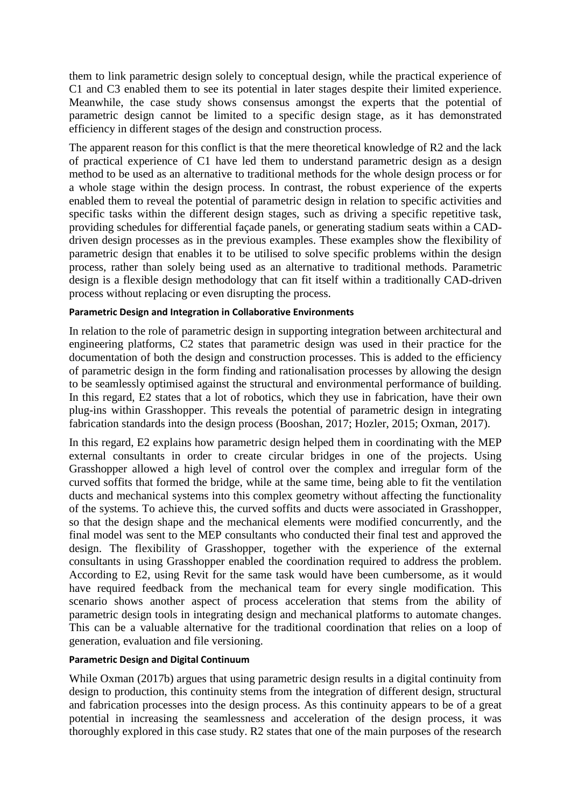them to link parametric design solely to conceptual design, while the practical experience of C1 and C3 enabled them to see its potential in later stages despite their limited experience. Meanwhile, the case study shows consensus amongst the experts that the potential of parametric design cannot be limited to a specific design stage, as it has demonstrated efficiency in different stages of the design and construction process.

The apparent reason for this conflict is that the mere theoretical knowledge of R2 and the lack of practical experience of C1 have led them to understand parametric design as a design method to be used as an alternative to traditional methods for the whole design process or for a whole stage within the design process. In contrast, the robust experience of the experts enabled them to reveal the potential of parametric design in relation to specific activities and specific tasks within the different design stages, such as driving a specific repetitive task, providing schedules for differential façade panels, or generating stadium seats within a CADdriven design processes as in the previous examples. These examples show the flexibility of parametric design that enables it to be utilised to solve specific problems within the design process, rather than solely being used as an alternative to traditional methods. Parametric design is a flexible design methodology that can fit itself within a traditionally CAD-driven process without replacing or even disrupting the process.

#### **Parametric Design and Integration in Collaborative Environments**

In relation to the role of parametric design in supporting integration between architectural and engineering platforms, C2 states that parametric design was used in their practice for the documentation of both the design and construction processes. This is added to the efficiency of parametric design in the form finding and rationalisation processes by allowing the design to be seamlessly optimised against the structural and environmental performance of building. In this regard, E2 states that a lot of robotics, which they use in fabrication, have their own plug-ins within Grasshopper. This reveals the potential of parametric design in integrating fabrication standards into the design process (Booshan, 2017; Hozler, 2015; Oxman, 2017).

In this regard, E2 explains how parametric design helped them in coordinating with the MEP external consultants in order to create circular bridges in one of the projects. Using Grasshopper allowed a high level of control over the complex and irregular form of the curved soffits that formed the bridge, while at the same time, being able to fit the ventilation ducts and mechanical systems into this complex geometry without affecting the functionality of the systems. To achieve this, the curved soffits and ducts were associated in Grasshopper, so that the design shape and the mechanical elements were modified concurrently, and the final model was sent to the MEP consultants who conducted their final test and approved the design. The flexibility of Grasshopper, together with the experience of the external consultants in using Grasshopper enabled the coordination required to address the problem. According to E2, using Revit for the same task would have been cumbersome, as it would have required feedback from the mechanical team for every single modification. This scenario shows another aspect of process acceleration that stems from the ability of parametric design tools in integrating design and mechanical platforms to automate changes. This can be a valuable alternative for the traditional coordination that relies on a loop of generation, evaluation and file versioning.

#### **Parametric Design and Digital Continuum**

While Oxman (2017b) argues that using parametric design results in a digital continuity from design to production, this continuity stems from the integration of different design, structural and fabrication processes into the design process. As this continuity appears to be of a great potential in increasing the seamlessness and acceleration of the design process, it was thoroughly explored in this case study. R2 states that one of the main purposes of the research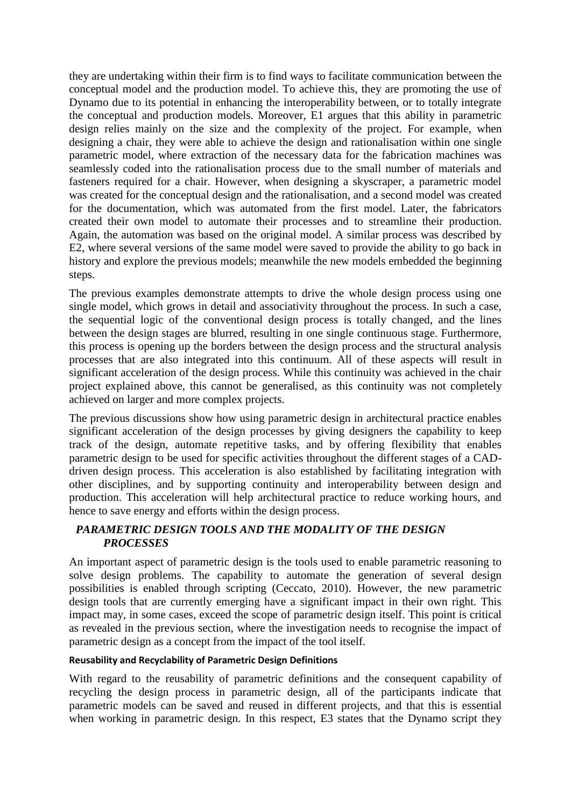they are undertaking within their firm is to find ways to facilitate communication between the conceptual model and the production model. To achieve this, they are promoting the use of Dynamo due to its potential in enhancing the interoperability between, or to totally integrate the conceptual and production models. Moreover, E1 argues that this ability in parametric design relies mainly on the size and the complexity of the project. For example, when designing a chair, they were able to achieve the design and rationalisation within one single parametric model, where extraction of the necessary data for the fabrication machines was seamlessly coded into the rationalisation process due to the small number of materials and fasteners required for a chair. However, when designing a skyscraper, a parametric model was created for the conceptual design and the rationalisation, and a second model was created for the documentation, which was automated from the first model. Later, the fabricators created their own model to automate their processes and to streamline their production. Again, the automation was based on the original model. A similar process was described by E2, where several versions of the same model were saved to provide the ability to go back in history and explore the previous models; meanwhile the new models embedded the beginning steps.

The previous examples demonstrate attempts to drive the whole design process using one single model, which grows in detail and associativity throughout the process. In such a case, the sequential logic of the conventional design process is totally changed, and the lines between the design stages are blurred, resulting in one single continuous stage. Furthermore, this process is opening up the borders between the design process and the structural analysis processes that are also integrated into this continuum. All of these aspects will result in significant acceleration of the design process. While this continuity was achieved in the chair project explained above, this cannot be generalised, as this continuity was not completely achieved on larger and more complex projects.

The previous discussions show how using parametric design in architectural practice enables significant acceleration of the design processes by giving designers the capability to keep track of the design, automate repetitive tasks, and by offering flexibility that enables parametric design to be used for specific activities throughout the different stages of a CADdriven design process. This acceleration is also established by facilitating integration with other disciplines, and by supporting continuity and interoperability between design and production. This acceleration will help architectural practice to reduce working hours, and hence to save energy and efforts within the design process.

# *PARAMETRIC DESIGN TOOLS AND THE MODALITY OF THE DESIGN PROCESSES*

An important aspect of parametric design is the tools used to enable parametric reasoning to solve design problems. The capability to automate the generation of several design possibilities is enabled through scripting (Ceccato, 2010). However, the new parametric design tools that are currently emerging have a significant impact in their own right. This impact may, in some cases, exceed the scope of parametric design itself. This point is critical as revealed in the previous section, where the investigation needs to recognise the impact of parametric design as a concept from the impact of the tool itself.

#### **Reusability and Recyclability of Parametric Design Definitions**

With regard to the reusability of parametric definitions and the consequent capability of recycling the design process in parametric design, all of the participants indicate that parametric models can be saved and reused in different projects, and that this is essential when working in parametric design. In this respect, E3 states that the Dynamo script they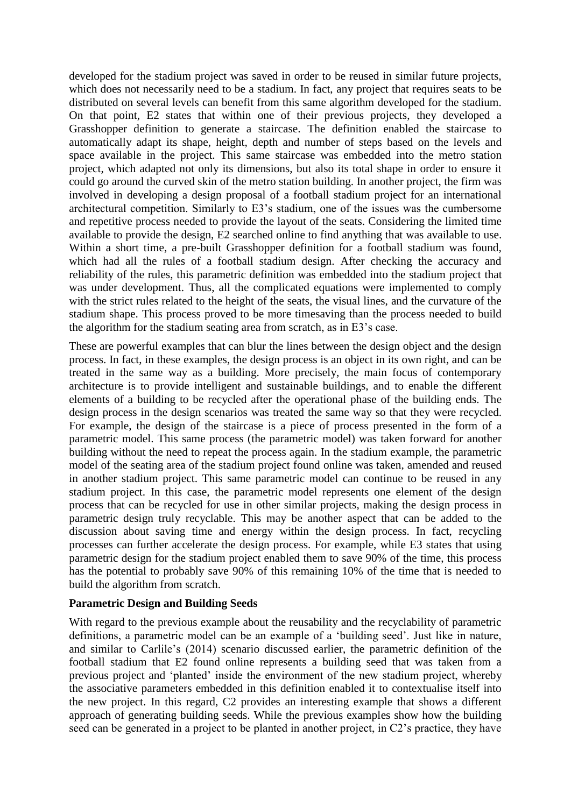developed for the stadium project was saved in order to be reused in similar future projects, which does not necessarily need to be a stadium. In fact, any project that requires seats to be distributed on several levels can benefit from this same algorithm developed for the stadium. On that point, E2 states that within one of their previous projects, they developed a Grasshopper definition to generate a staircase. The definition enabled the staircase to automatically adapt its shape, height, depth and number of steps based on the levels and space available in the project. This same staircase was embedded into the metro station project, which adapted not only its dimensions, but also its total shape in order to ensure it could go around the curved skin of the metro station building. In another project, the firm was involved in developing a design proposal of a football stadium project for an international architectural competition. Similarly to E3's stadium, one of the issues was the cumbersome and repetitive process needed to provide the layout of the seats. Considering the limited time available to provide the design, E2 searched online to find anything that was available to use. Within a short time, a pre-built Grasshopper definition for a football stadium was found, which had all the rules of a football stadium design. After checking the accuracy and reliability of the rules, this parametric definition was embedded into the stadium project that was under development. Thus, all the complicated equations were implemented to comply with the strict rules related to the height of the seats, the visual lines, and the curvature of the stadium shape. This process proved to be more timesaving than the process needed to build the algorithm for the stadium seating area from scratch, as in E3's case.

These are powerful examples that can blur the lines between the design object and the design process. In fact, in these examples, the design process is an object in its own right, and can be treated in the same way as a building. More precisely, the main focus of contemporary architecture is to provide intelligent and sustainable buildings, and to enable the different elements of a building to be recycled after the operational phase of the building ends. The design process in the design scenarios was treated the same way so that they were recycled. For example, the design of the staircase is a piece of process presented in the form of a parametric model. This same process (the parametric model) was taken forward for another building without the need to repeat the process again. In the stadium example, the parametric model of the seating area of the stadium project found online was taken, amended and reused in another stadium project. This same parametric model can continue to be reused in any stadium project. In this case, the parametric model represents one element of the design process that can be recycled for use in other similar projects, making the design process in parametric design truly recyclable. This may be another aspect that can be added to the discussion about saving time and energy within the design process. In fact, recycling processes can further accelerate the design process. For example, while E3 states that using parametric design for the stadium project enabled them to save 90% of the time, this process has the potential to probably save 90% of this remaining 10% of the time that is needed to build the algorithm from scratch.

#### **Parametric Design and Building Seeds**

With regard to the previous example about the reusability and the recyclability of parametric definitions, a parametric model can be an example of a 'building seed'. Just like in nature, and similar to Carlile's (2014) scenario discussed earlier, the parametric definition of the football stadium that E2 found online represents a building seed that was taken from a previous project and 'planted' inside the environment of the new stadium project, whereby the associative parameters embedded in this definition enabled it to contextualise itself into the new project. In this regard, C2 provides an interesting example that shows a different approach of generating building seeds. While the previous examples show how the building seed can be generated in a project to be planted in another project, in C2's practice, they have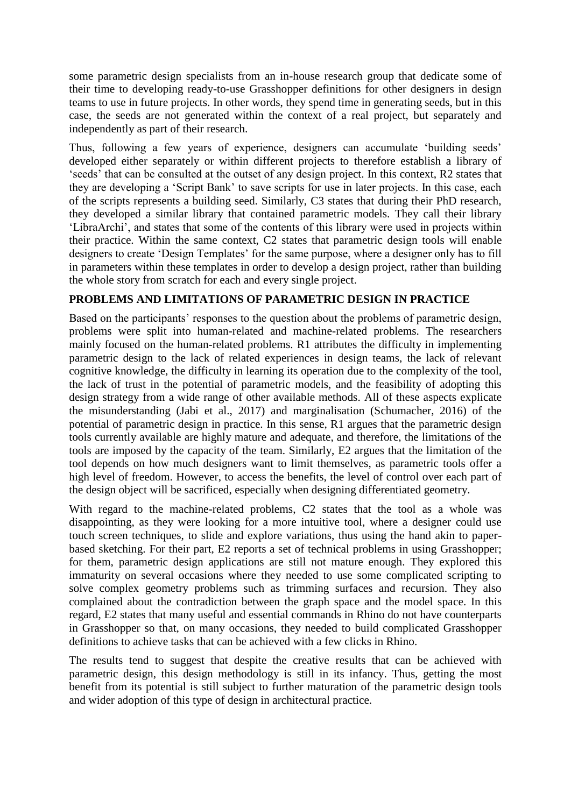some parametric design specialists from an in-house research group that dedicate some of their time to developing ready-to-use Grasshopper definitions for other designers in design teams to use in future projects. In other words, they spend time in generating seeds, but in this case, the seeds are not generated within the context of a real project, but separately and independently as part of their research.

Thus, following a few years of experience, designers can accumulate 'building seeds' developed either separately or within different projects to therefore establish a library of 'seeds' that can be consulted at the outset of any design project. In this context, R2 states that they are developing a 'Script Bank' to save scripts for use in later projects. In this case, each of the scripts represents a building seed. Similarly, C3 states that during their PhD research, they developed a similar library that contained parametric models. They call their library 'LibraArchi', and states that some of the contents of this library were used in projects within their practice. Within the same context, C2 states that parametric design tools will enable designers to create 'Design Templates' for the same purpose, where a designer only has to fill in parameters within these templates in order to develop a design project, rather than building the whole story from scratch for each and every single project.

# **PROBLEMS AND LIMITATIONS OF PARAMETRIC DESIGN IN PRACTICE**

Based on the participants' responses to the question about the problems of parametric design, problems were split into human-related and machine-related problems. The researchers mainly focused on the human-related problems. R1 attributes the difficulty in implementing parametric design to the lack of related experiences in design teams, the lack of relevant cognitive knowledge, the difficulty in learning its operation due to the complexity of the tool, the lack of trust in the potential of parametric models, and the feasibility of adopting this design strategy from a wide range of other available methods. All of these aspects explicate the misunderstanding (Jabi et al., 2017) and marginalisation (Schumacher, 2016) of the potential of parametric design in practice. In this sense, R1 argues that the parametric design tools currently available are highly mature and adequate, and therefore, the limitations of the tools are imposed by the capacity of the team. Similarly, E2 argues that the limitation of the tool depends on how much designers want to limit themselves, as parametric tools offer a high level of freedom. However, to access the benefits, the level of control over each part of the design object will be sacrificed, especially when designing differentiated geometry.

With regard to the machine-related problems, C2 states that the tool as a whole was disappointing, as they were looking for a more intuitive tool, where a designer could use touch screen techniques, to slide and explore variations, thus using the hand akin to paperbased sketching. For their part, E2 reports a set of technical problems in using Grasshopper; for them, parametric design applications are still not mature enough. They explored this immaturity on several occasions where they needed to use some complicated scripting to solve complex geometry problems such as trimming surfaces and recursion. They also complained about the contradiction between the graph space and the model space. In this regard, E2 states that many useful and essential commands in Rhino do not have counterparts in Grasshopper so that, on many occasions, they needed to build complicated Grasshopper definitions to achieve tasks that can be achieved with a few clicks in Rhino.

The results tend to suggest that despite the creative results that can be achieved with parametric design, this design methodology is still in its infancy. Thus, getting the most benefit from its potential is still subject to further maturation of the parametric design tools and wider adoption of this type of design in architectural practice.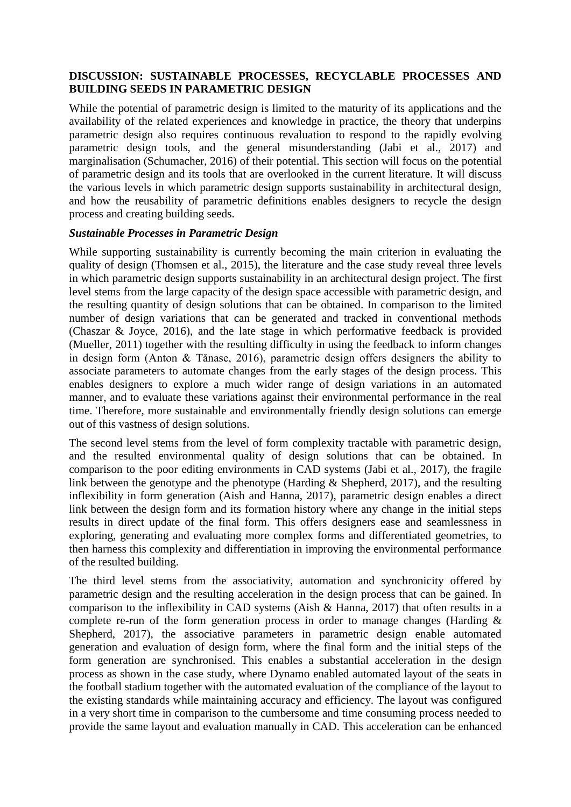## **DISCUSSION: SUSTAINABLE PROCESSES, RECYCLABLE PROCESSES AND BUILDING SEEDS IN PARAMETRIC DESIGN**

While the potential of parametric design is limited to the maturity of its applications and the availability of the related experiences and knowledge in practice, the theory that underpins parametric design also requires continuous revaluation to respond to the rapidly evolving parametric design tools, and the general misunderstanding (Jabi et al., 2017) and marginalisation (Schumacher, 2016) of their potential. This section will focus on the potential of parametric design and its tools that are overlooked in the current literature. It will discuss the various levels in which parametric design supports sustainability in architectural design, and how the reusability of parametric definitions enables designers to recycle the design process and creating building seeds.

## *Sustainable Processes in Parametric Design*

While supporting sustainability is currently becoming the main criterion in evaluating the quality of design (Thomsen et al., 2015), the literature and the case study reveal three levels in which parametric design supports sustainability in an architectural design project. The first level stems from the large capacity of the design space accessible with parametric design, and the resulting quantity of design solutions that can be obtained. In comparison to the limited number of design variations that can be generated and tracked in conventional methods (Chaszar & Joyce, 2016), and the late stage in which performative feedback is provided (Mueller, 2011) together with the resulting difficulty in using the feedback to inform changes in design form (Anton & Tănase, 2016), parametric design offers designers the ability to associate parameters to automate changes from the early stages of the design process. This enables designers to explore a much wider range of design variations in an automated manner, and to evaluate these variations against their environmental performance in the real time. Therefore, more sustainable and environmentally friendly design solutions can emerge out of this vastness of design solutions.

The second level stems from the level of form complexity tractable with parametric design, and the resulted environmental quality of design solutions that can be obtained. In comparison to the poor editing environments in CAD systems (Jabi et al., 2017), the fragile link between the genotype and the phenotype (Harding & Shepherd, 2017), and the resulting inflexibility in form generation (Aish and Hanna, 2017), parametric design enables a direct link between the design form and its formation history where any change in the initial steps results in direct update of the final form. This offers designers ease and seamlessness in exploring, generating and evaluating more complex forms and differentiated geometries, to then harness this complexity and differentiation in improving the environmental performance of the resulted building.

The third level stems from the associativity, automation and synchronicity offered by parametric design and the resulting acceleration in the design process that can be gained. In comparison to the inflexibility in CAD systems (Aish & Hanna, 2017) that often results in a complete re-run of the form generation process in order to manage changes (Harding & Shepherd, 2017), the associative parameters in parametric design enable automated generation and evaluation of design form, where the final form and the initial steps of the form generation are synchronised. This enables a substantial acceleration in the design process as shown in the case study, where Dynamo enabled automated layout of the seats in the football stadium together with the automated evaluation of the compliance of the layout to the existing standards while maintaining accuracy and efficiency. The layout was configured in a very short time in comparison to the cumbersome and time consuming process needed to provide the same layout and evaluation manually in CAD. This acceleration can be enhanced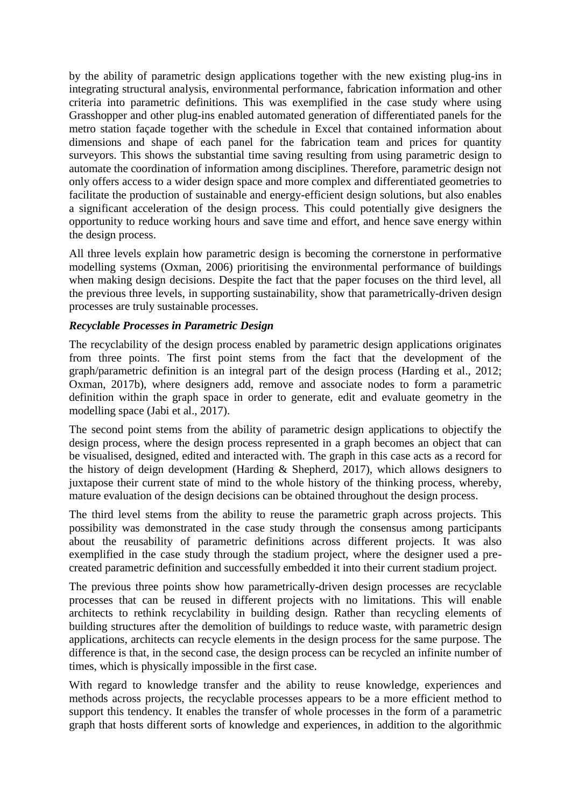by the ability of parametric design applications together with the new existing plug-ins in integrating structural analysis, environmental performance, fabrication information and other criteria into parametric definitions. This was exemplified in the case study where using Grasshopper and other plug-ins enabled automated generation of differentiated panels for the metro station façade together with the schedule in Excel that contained information about dimensions and shape of each panel for the fabrication team and prices for quantity surveyors. This shows the substantial time saving resulting from using parametric design to automate the coordination of information among disciplines. Therefore, parametric design not only offers access to a wider design space and more complex and differentiated geometries to facilitate the production of sustainable and energy-efficient design solutions, but also enables a significant acceleration of the design process. This could potentially give designers the opportunity to reduce working hours and save time and effort, and hence save energy within the design process.

All three levels explain how parametric design is becoming the cornerstone in performative modelling systems (Oxman, 2006) prioritising the environmental performance of buildings when making design decisions. Despite the fact that the paper focuses on the third level, all the previous three levels, in supporting sustainability, show that parametrically-driven design processes are truly sustainable processes.

## *Recyclable Processes in Parametric Design*

The recyclability of the design process enabled by parametric design applications originates from three points. The first point stems from the fact that the development of the graph/parametric definition is an integral part of the design process (Harding et al., 2012; Oxman, 2017b), where designers add, remove and associate nodes to form a parametric definition within the graph space in order to generate, edit and evaluate geometry in the modelling space (Jabi et al., 2017).

The second point stems from the ability of parametric design applications to objectify the design process, where the design process represented in a graph becomes an object that can be visualised, designed, edited and interacted with. The graph in this case acts as a record for the history of deign development (Harding & Shepherd, 2017), which allows designers to juxtapose their current state of mind to the whole history of the thinking process, whereby, mature evaluation of the design decisions can be obtained throughout the design process.

The third level stems from the ability to reuse the parametric graph across projects. This possibility was demonstrated in the case study through the consensus among participants about the reusability of parametric definitions across different projects. It was also exemplified in the case study through the stadium project, where the designer used a precreated parametric definition and successfully embedded it into their current stadium project.

The previous three points show how parametrically-driven design processes are recyclable processes that can be reused in different projects with no limitations. This will enable architects to rethink recyclability in building design. Rather than recycling elements of building structures after the demolition of buildings to reduce waste, with parametric design applications, architects can recycle elements in the design process for the same purpose. The difference is that, in the second case, the design process can be recycled an infinite number of times, which is physically impossible in the first case.

With regard to knowledge transfer and the ability to reuse knowledge, experiences and methods across projects, the recyclable processes appears to be a more efficient method to support this tendency. It enables the transfer of whole processes in the form of a parametric graph that hosts different sorts of knowledge and experiences, in addition to the algorithmic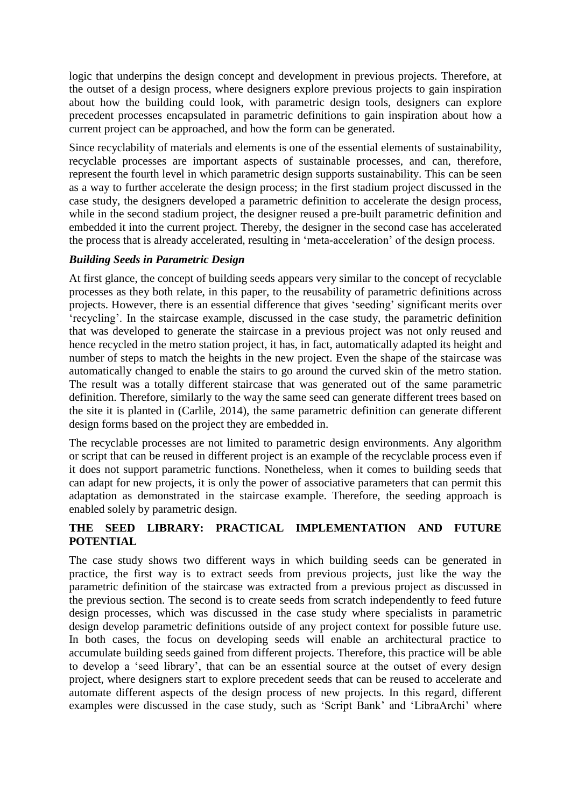logic that underpins the design concept and development in previous projects. Therefore, at the outset of a design process, where designers explore previous projects to gain inspiration about how the building could look, with parametric design tools, designers can explore precedent processes encapsulated in parametric definitions to gain inspiration about how a current project can be approached, and how the form can be generated.

Since recyclability of materials and elements is one of the essential elements of sustainability, recyclable processes are important aspects of sustainable processes, and can, therefore, represent the fourth level in which parametric design supports sustainability. This can be seen as a way to further accelerate the design process; in the first stadium project discussed in the case study, the designers developed a parametric definition to accelerate the design process, while in the second stadium project, the designer reused a pre-built parametric definition and embedded it into the current project. Thereby, the designer in the second case has accelerated the process that is already accelerated, resulting in 'meta-acceleration' of the design process.

# *Building Seeds in Parametric Design*

At first glance, the concept of building seeds appears very similar to the concept of recyclable processes as they both relate, in this paper, to the reusability of parametric definitions across projects. However, there is an essential difference that gives 'seeding' significant merits over 'recycling'. In the staircase example, discussed in the case study, the parametric definition that was developed to generate the staircase in a previous project was not only reused and hence recycled in the metro station project, it has, in fact, automatically adapted its height and number of steps to match the heights in the new project. Even the shape of the staircase was automatically changed to enable the stairs to go around the curved skin of the metro station. The result was a totally different staircase that was generated out of the same parametric definition. Therefore, similarly to the way the same seed can generate different trees based on the site it is planted in (Carlile, 2014), the same parametric definition can generate different design forms based on the project they are embedded in.

The recyclable processes are not limited to parametric design environments. Any algorithm or script that can be reused in different project is an example of the recyclable process even if it does not support parametric functions. Nonetheless, when it comes to building seeds that can adapt for new projects, it is only the power of associative parameters that can permit this adaptation as demonstrated in the staircase example. Therefore, the seeding approach is enabled solely by parametric design.

# **THE SEED LIBRARY: PRACTICAL IMPLEMENTATION AND FUTURE POTENTIAL**

The case study shows two different ways in which building seeds can be generated in practice, the first way is to extract seeds from previous projects, just like the way the parametric definition of the staircase was extracted from a previous project as discussed in the previous section. The second is to create seeds from scratch independently to feed future design processes, which was discussed in the case study where specialists in parametric design develop parametric definitions outside of any project context for possible future use. In both cases, the focus on developing seeds will enable an architectural practice to accumulate building seeds gained from different projects. Therefore, this practice will be able to develop a 'seed library', that can be an essential source at the outset of every design project, where designers start to explore precedent seeds that can be reused to accelerate and automate different aspects of the design process of new projects. In this regard, different examples were discussed in the case study, such as 'Script Bank' and 'LibraArchi' where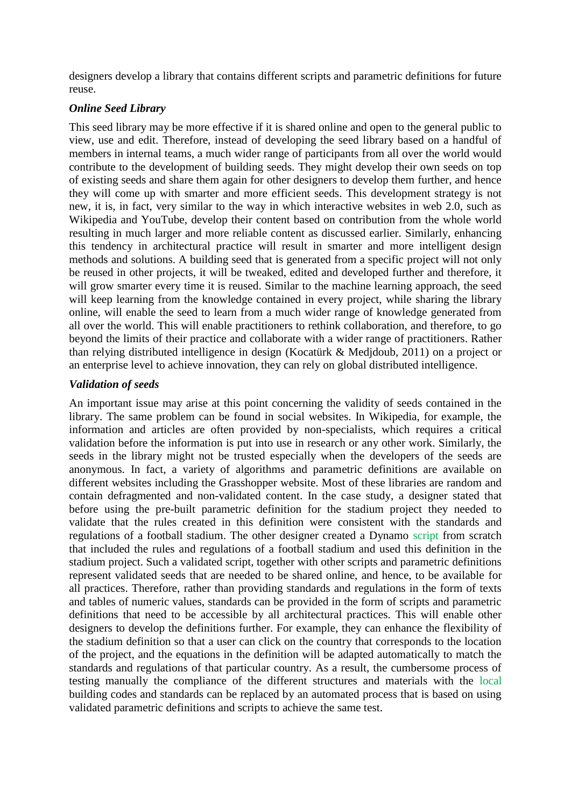designers develop a library that contains different scripts and parametric definitions for future reuse.

## *Online Seed Library*

This seed library may be more effective if it is shared online and open to the general public to view, use and edit. Therefore, instead of developing the seed library based on a handful of members in internal teams, a much wider range of participants from all over the world would contribute to the development of building seeds. They might develop their own seeds on top of existing seeds and share them again for other designers to develop them further, and hence they will come up with smarter and more efficient seeds. This development strategy is not new, it is, in fact, very similar to the way in which interactive websites in web 2.0, such as Wikipedia and YouTube, develop their content based on contribution from the whole world resulting in much larger and more reliable content as discussed earlier. Similarly, enhancing this tendency in architectural practice will result in smarter and more intelligent design methods and solutions. A building seed that is generated from a specific project will not only be reused in other projects, it will be tweaked, edited and developed further and therefore, it will grow smarter every time it is reused. Similar to the machine learning approach, the seed will keep learning from the knowledge contained in every project, while sharing the library online, will enable the seed to learn from a much wider range of knowledge generated from all over the world. This will enable practitioners to rethink collaboration, and therefore, to go beyond the limits of their practice and collaborate with a wider range of practitioners. Rather than relying distributed intelligence in design (Kocatürk & Medjdoub, 2011) on a project or an enterprise level to achieve innovation, they can rely on global distributed intelligence.

## *Validation of seeds*

An important issue may arise at this point concerning the validity of seeds contained in the library. The same problem can be found in social websites. In Wikipedia, for example, the information and articles are often provided by non-specialists, which requires a critical validation before the information is put into use in research or any other work. Similarly, the seeds in the library might not be trusted especially when the developers of the seeds are anonymous. In fact, a variety of algorithms and parametric definitions are available on different websites including the Grasshopper website. Most of these libraries are random and contain defragmented and non-validated content. In the case study, a designer stated that before using the pre-built parametric definition for the stadium project they needed to validate that the rules created in this definition were consistent with the standards and regulations of a football stadium. The other designer created a Dynamo script from scratch that included the rules and regulations of a football stadium and used this definition in the stadium project. Such a validated script, together with other scripts and parametric definitions represent validated seeds that are needed to be shared online, and hence, to be available for all practices. Therefore, rather than providing standards and regulations in the form of texts and tables of numeric values, standards can be provided in the form of scripts and parametric definitions that need to be accessible by all architectural practices. This will enable other designers to develop the definitions further. For example, they can enhance the flexibility of the stadium definition so that a user can click on the country that corresponds to the location of the project, and the equations in the definition will be adapted automatically to match the standards and regulations of that particular country. As a result, the cumbersome process of testing manually the compliance of the different structures and materials with the local building codes and standards can be replaced by an automated process that is based on using validated parametric definitions and scripts to achieve the same test.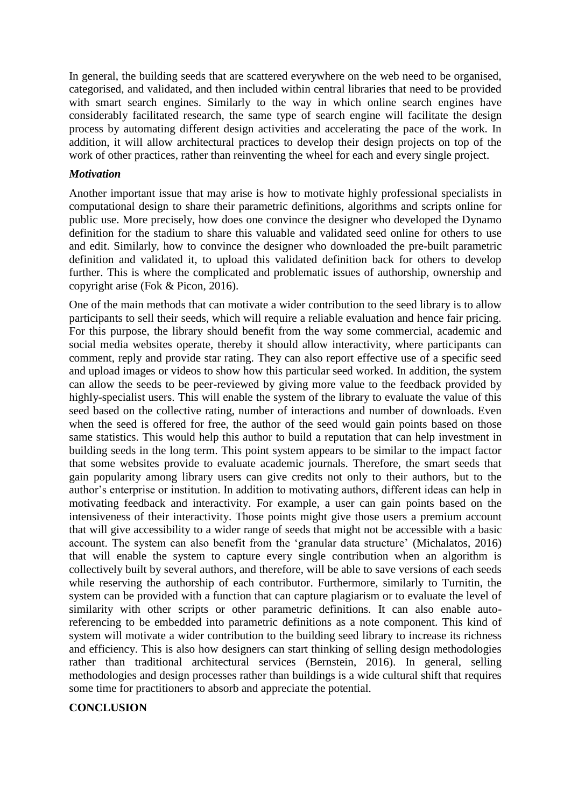In general, the building seeds that are scattered everywhere on the web need to be organised, categorised, and validated, and then included within central libraries that need to be provided with smart search engines. Similarly to the way in which online search engines have considerably facilitated research, the same type of search engine will facilitate the design process by automating different design activities and accelerating the pace of the work. In addition, it will allow architectural practices to develop their design projects on top of the work of other practices, rather than reinventing the wheel for each and every single project.

#### *Motivation*

Another important issue that may arise is how to motivate highly professional specialists in computational design to share their parametric definitions, algorithms and scripts online for public use. More precisely, how does one convince the designer who developed the Dynamo definition for the stadium to share this valuable and validated seed online for others to use and edit. Similarly, how to convince the designer who downloaded the pre-built parametric definition and validated it, to upload this validated definition back for others to develop further. This is where the complicated and problematic issues of authorship, ownership and copyright arise (Fok & Picon, 2016).

One of the main methods that can motivate a wider contribution to the seed library is to allow participants to sell their seeds, which will require a reliable evaluation and hence fair pricing. For this purpose, the library should benefit from the way some commercial, academic and social media websites operate, thereby it should allow interactivity, where participants can comment, reply and provide star rating. They can also report effective use of a specific seed and upload images or videos to show how this particular seed worked. In addition, the system can allow the seeds to be peer-reviewed by giving more value to the feedback provided by highly-specialist users. This will enable the system of the library to evaluate the value of this seed based on the collective rating, number of interactions and number of downloads. Even when the seed is offered for free, the author of the seed would gain points based on those same statistics. This would help this author to build a reputation that can help investment in building seeds in the long term. This point system appears to be similar to the impact factor that some websites provide to evaluate academic journals. Therefore, the smart seeds that gain popularity among library users can give credits not only to their authors, but to the author's enterprise or institution. In addition to motivating authors, different ideas can help in motivating feedback and interactivity. For example, a user can gain points based on the intensiveness of their interactivity. Those points might give those users a premium account that will give accessibility to a wider range of seeds that might not be accessible with a basic account. The system can also benefit from the 'granular data structure' (Michalatos, 2016) that will enable the system to capture every single contribution when an algorithm is collectively built by several authors, and therefore, will be able to save versions of each seeds while reserving the authorship of each contributor. Furthermore, similarly to Turnitin, the system can be provided with a function that can capture plagiarism or to evaluate the level of similarity with other scripts or other parametric definitions. It can also enable autoreferencing to be embedded into parametric definitions as a note component. This kind of system will motivate a wider contribution to the building seed library to increase its richness and efficiency. This is also how designers can start thinking of selling design methodologies rather than traditional architectural services (Bernstein, 2016). In general, selling methodologies and design processes rather than buildings is a wide cultural shift that requires some time for practitioners to absorb and appreciate the potential.

#### **CONCLUSION**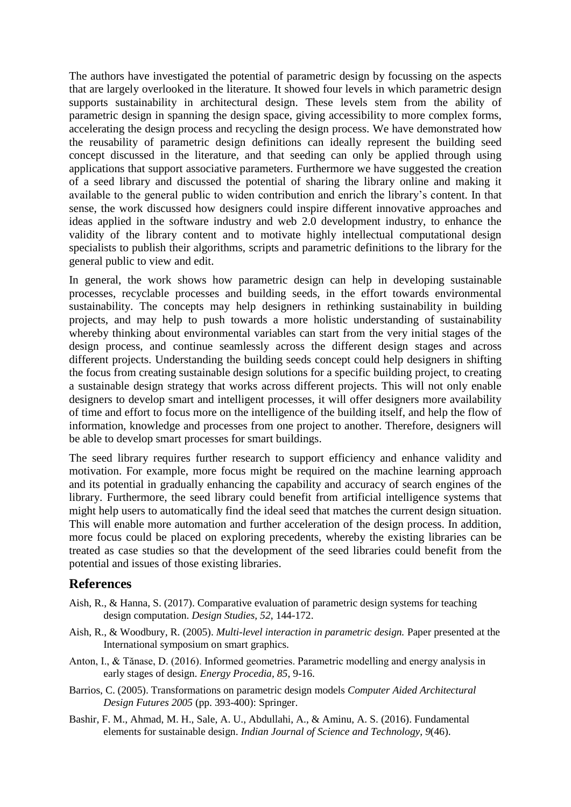The authors have investigated the potential of parametric design by focussing on the aspects that are largely overlooked in the literature. It showed four levels in which parametric design supports sustainability in architectural design. These levels stem from the ability of parametric design in spanning the design space, giving accessibility to more complex forms, accelerating the design process and recycling the design process. We have demonstrated how the reusability of parametric design definitions can ideally represent the building seed concept discussed in the literature, and that seeding can only be applied through using applications that support associative parameters. Furthermore we have suggested the creation of a seed library and discussed the potential of sharing the library online and making it available to the general public to widen contribution and enrich the library's content. In that sense, the work discussed how designers could inspire different innovative approaches and ideas applied in the software industry and web 2.0 development industry, to enhance the validity of the library content and to motivate highly intellectual computational design specialists to publish their algorithms, scripts and parametric definitions to the library for the general public to view and edit.

In general, the work shows how parametric design can help in developing sustainable processes, recyclable processes and building seeds, in the effort towards environmental sustainability. The concepts may help designers in rethinking sustainability in building projects, and may help to push towards a more holistic understanding of sustainability whereby thinking about environmental variables can start from the very initial stages of the design process, and continue seamlessly across the different design stages and across different projects. Understanding the building seeds concept could help designers in shifting the focus from creating sustainable design solutions for a specific building project, to creating a sustainable design strategy that works across different projects. This will not only enable designers to develop smart and intelligent processes, it will offer designers more availability of time and effort to focus more on the intelligence of the building itself, and help the flow of information, knowledge and processes from one project to another. Therefore, designers will be able to develop smart processes for smart buildings.

The seed library requires further research to support efficiency and enhance validity and motivation. For example, more focus might be required on the machine learning approach and its potential in gradually enhancing the capability and accuracy of search engines of the library. Furthermore, the seed library could benefit from artificial intelligence systems that might help users to automatically find the ideal seed that matches the current design situation. This will enable more automation and further acceleration of the design process. In addition, more focus could be placed on exploring precedents, whereby the existing libraries can be treated as case studies so that the development of the seed libraries could benefit from the potential and issues of those existing libraries.

# **References**

- Aish, R., & Hanna, S. (2017). Comparative evaluation of parametric design systems for teaching design computation. *Design Studies, 52*, 144-172.
- Aish, R., & Woodbury, R. (2005). *Multi-level interaction in parametric design.* Paper presented at the International symposium on smart graphics.
- Anton, I., & Tănase, D. (2016). Informed geometries. Parametric modelling and energy analysis in early stages of design. *Energy Procedia, 85*, 9-16.
- Barrios, C. (2005). Transformations on parametric design models *Computer Aided Architectural Design Futures 2005* (pp. 393-400): Springer.
- Bashir, F. M., Ahmad, M. H., Sale, A. U., Abdullahi, A., & Aminu, A. S. (2016). Fundamental elements for sustainable design. *Indian Journal of Science and Technology, 9*(46).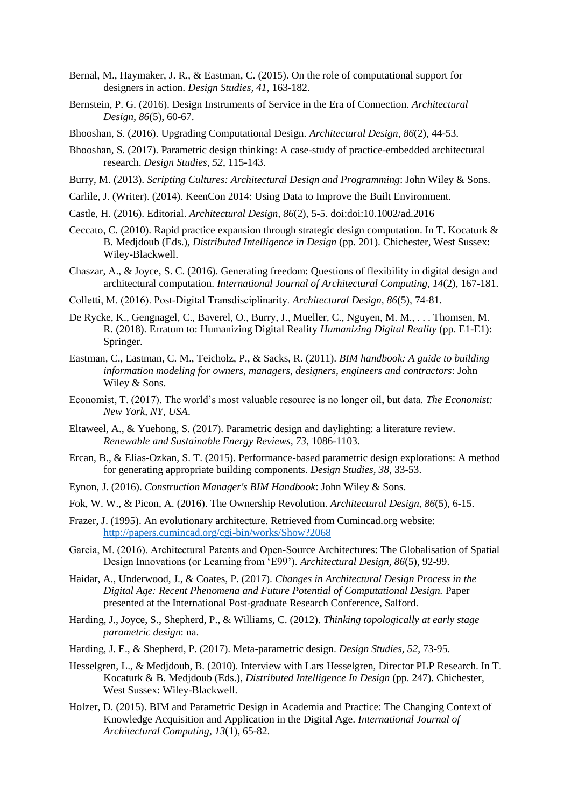- Bernal, M., Haymaker, J. R., & Eastman, C. (2015). On the role of computational support for designers in action. *Design Studies, 41*, 163-182.
- Bernstein, P. G. (2016). Design Instruments of Service in the Era of Connection. *Architectural Design, 86*(5), 60-67.
- Bhooshan, S. (2016). Upgrading Computational Design. *Architectural Design, 86*(2), 44-53.
- Bhooshan, S. (2017). Parametric design thinking: A case-study of practice-embedded architectural research. *Design Studies, 52*, 115-143.
- Burry, M. (2013). *Scripting Cultures: Architectural Design and Programming*: John Wiley & Sons.
- Carlile, J. (Writer). (2014). KeenCon 2014: Using Data to Improve the Built Environment.
- Castle, H. (2016). Editorial. *Architectural Design, 86*(2), 5-5. doi:doi:10.1002/ad.2016
- Ceccato, C. (2010). Rapid practice expansion through strategic design computation. In T. Kocaturk & B. Medjdoub (Eds.), *Distributed Intelligence in Design* (pp. 201). Chichester, West Sussex: Wiley-Blackwell.
- Chaszar, A., & Joyce, S. C. (2016). Generating freedom: Questions of flexibility in digital design and architectural computation. *International Journal of Architectural Computing, 14*(2), 167-181.
- Colletti, M. (2016). Post‐Digital Transdisciplinarity. *Architectural Design, 86*(5), 74-81.
- De Rycke, K., Gengnagel, C., Baverel, O., Burry, J., Mueller, C., Nguyen, M. M., . . . Thomsen, M. R. (2018). Erratum to: Humanizing Digital Reality *Humanizing Digital Reality* (pp. E1-E1): Springer.
- Eastman, C., Eastman, C. M., Teicholz, P., & Sacks, R. (2011). *BIM handbook: A guide to building information modeling for owners, managers, designers, engineers and contractors*: John Wiley & Sons.
- Economist, T. (2017). The world's most valuable resource is no longer oil, but data. *The Economist: New York, NY, USA*.
- Eltaweel, A., & Yuehong, S. (2017). Parametric design and daylighting: a literature review. *Renewable and Sustainable Energy Reviews, 73*, 1086-1103.
- Ercan, B., & Elias-Ozkan, S. T. (2015). Performance-based parametric design explorations: A method for generating appropriate building components. *Design Studies, 38*, 33-53.
- Eynon, J. (2016). *Construction Manager's BIM Handbook*: John Wiley & Sons.
- Fok, W. W., & Picon, A. (2016). The Ownership Revolution. *Architectural Design, 86*(5), 6-15.
- Frazer, J. (1995). An evolutionary architecture. Retrieved from Cumincad.org website: <http://papers.cumincad.org/cgi-bin/works/Show?2068>
- Garcia, M. (2016). Architectural Patents and Open‐Source Architectures: The Globalisation of Spatial Design Innovations (or Learning from 'E99'). *Architectural Design, 86*(5), 92-99.
- Haidar, A., Underwood, J., & Coates, P. (2017). *Changes in Architectural Design Process in the Digital Age: Recent Phenomena and Future Potential of Computational Design.* Paper presented at the International Post-graduate Research Conference, Salford.
- Harding, J., Joyce, S., Shepherd, P., & Williams, C. (2012). *Thinking topologically at early stage parametric design*: na.
- Harding, J. E., & Shepherd, P. (2017). Meta-parametric design. *Design Studies, 52*, 73-95.
- Hesselgren, L., & Medjdoub, B. (2010). Interview with Lars Hesselgren, Director PLP Research. In T. Kocaturk & B. Medjdoub (Eds.), *Distributed Intelligence In Design* (pp. 247). Chichester, West Sussex: Wiley-Blackwell.
- Holzer, D. (2015). BIM and Parametric Design in Academia and Practice: The Changing Context of Knowledge Acquisition and Application in the Digital Age. *International Journal of Architectural Computing, 13*(1), 65-82.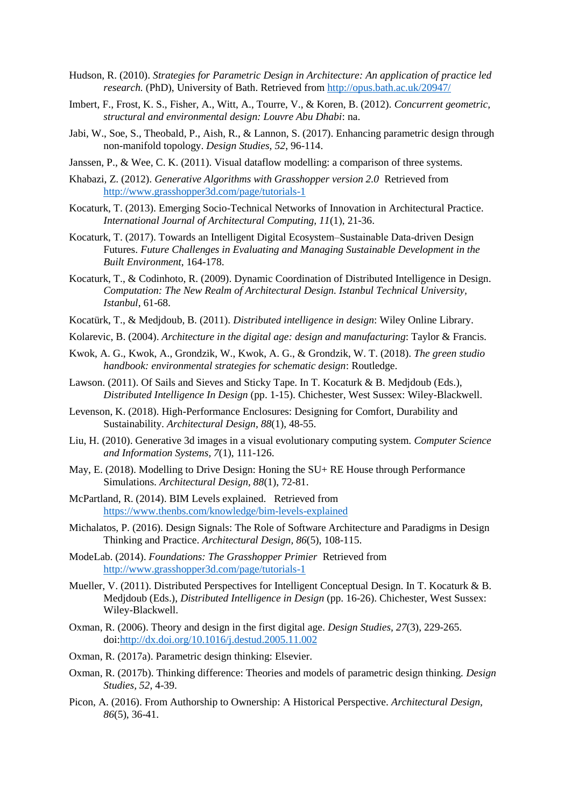- Hudson, R. (2010). *Strategies for Parametric Design in Architecture: An application of practice led research.* (PhD), University of Bath. Retrieved from<http://opus.bath.ac.uk/20947/>
- Imbert, F., Frost, K. S., Fisher, A., Witt, A., Tourre, V., & Koren, B. (2012). *Concurrent geometric, structural and environmental design: Louvre Abu Dhabi*: na.
- Jabi, W., Soe, S., Theobald, P., Aish, R., & Lannon, S. (2017). Enhancing parametric design through non-manifold topology. *Design Studies, 52*, 96-114.
- Janssen, P., & Wee, C. K. (2011). Visual dataflow modelling: a comparison of three systems.
- Khabazi, Z. (2012). *Generative Algorithms with Grasshopper version 2.0* Retrieved from <http://www.grasshopper3d.com/page/tutorials-1>
- Kocaturk, T. (2013). Emerging Socio-Technical Networks of Innovation in Architectural Practice. *International Journal of Architectural Computing, 11*(1), 21-36.
- Kocaturk, T. (2017). Towards an Intelligent Digital Ecosystem–Sustainable Data‐driven Design Futures. *Future Challenges in Evaluating and Managing Sustainable Development in the Built Environment*, 164-178.
- Kocaturk, T., & Codinhoto, R. (2009). Dynamic Coordination of Distributed Intelligence in Design. *Computation: The New Realm of Architectural Design. Istanbul Technical University, Istanbul*, 61-68.
- Kocatürk, T., & Medjdoub, B. (2011). *Distributed intelligence in design*: Wiley Online Library.
- Kolarevic, B. (2004). *Architecture in the digital age: design and manufacturing*: Taylor & Francis.
- Kwok, A. G., Kwok, A., Grondzik, W., Kwok, A. G., & Grondzik, W. T. (2018). *The green studio handbook: environmental strategies for schematic design*: Routledge.
- Lawson. (2011). Of Sails and Sieves and Sticky Tape. In T. Kocaturk & B. Medjdoub (Eds.), *Distributed Intelligence In Design* (pp. 1-15). Chichester, West Sussex: Wiley-Blackwell.
- Levenson, K. (2018). High-Performance Enclosures: Designing for Comfort, Durability and Sustainability. *Architectural Design, 88*(1), 48-55.
- Liu, H. (2010). Generative 3d images in a visual evolutionary computing system. *Computer Science and Information Systems, 7*(1), 111-126.
- May, E. (2018). Modelling to Drive Design: Honing the SU+ RE House through Performance Simulations. *Architectural Design, 88*(1), 72-81.
- McPartland, R. (2014). BIM Levels explained. Retrieved from <https://www.thenbs.com/knowledge/bim-levels-explained>
- Michalatos, P. (2016). Design Signals: The Role of Software Architecture and Paradigms in Design Thinking and Practice. *Architectural Design, 86*(5), 108-115.
- ModeLab. (2014). *Foundations: The Grasshopper Primier* Retrieved from <http://www.grasshopper3d.com/page/tutorials-1>
- Mueller, V. (2011). Distributed Perspectives for Intelligent Conceptual Design. In T. Kocaturk & B. Medjdoub (Eds.), *Distributed Intelligence in Design* (pp. 16-26). Chichester, West Sussex: Wiley-Blackwell.
- Oxman, R. (2006). Theory and design in the first digital age. *Design Studies, 27*(3), 229-265. doi[:http://dx.doi.org/10.1016/j.destud.2005.11.002](http://dx.doi.org/10.1016/j.destud.2005.11.002)
- Oxman, R. (2017a). Parametric design thinking: Elsevier.
- Oxman, R. (2017b). Thinking difference: Theories and models of parametric design thinking. *Design Studies, 52*, 4-39.
- Picon, A. (2016). From Authorship to Ownership: A Historical Perspective. *Architectural Design, 86*(5), 36-41.